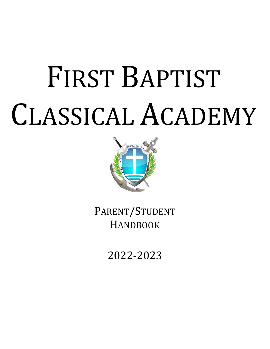# FIRST BAPTIST CLASSICAL ACADEMY



PARENT/STUDENT HANDBOOK

2022-2023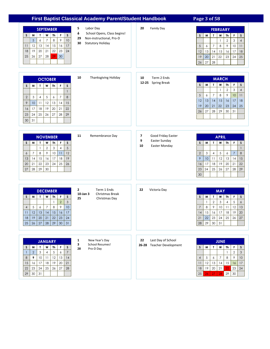|                                                                                                                                                                                                                                                                                                                     | <b>First Baptist Classical Academy Parent/Student Handbook</b>                                                         |                                                                                             | Page 3 of 58                                                                                                                                                                                                                                                                                                    |
|---------------------------------------------------------------------------------------------------------------------------------------------------------------------------------------------------------------------------------------------------------------------------------------------------------------------|------------------------------------------------------------------------------------------------------------------------|---------------------------------------------------------------------------------------------|-----------------------------------------------------------------------------------------------------------------------------------------------------------------------------------------------------------------------------------------------------------------------------------------------------------------|
| <b>SEPTEMBER</b><br>W<br>W<br>Th<br>F<br>s<br>S<br>T.<br>$\overline{7}$<br>5<br>6<br>8<br>9<br>10<br>17<br>15<br>13<br>14<br>16<br>12<br>11<br>19<br>21<br>22<br>23<br>20<br>24<br>18<br>28<br>29<br>30<br>26<br>27<br>25                                                                                           | 5<br>Labor Day<br>6<br>School Opens, Class begins!<br>29<br>Non-instructional, Pro-D<br>30<br><b>Statutory Holiday</b> | 20<br><b>Family Day</b>                                                                     | <b>FEBRUARY</b><br>F<br>M<br>T<br>W<br>Th<br>S<br>S<br>$\overline{2}$<br>$\ensuremath{\mathsf{3}}$<br>$\overline{4}$<br>$\overline{1}$<br>9<br>$\overline{7}$<br>8<br>10<br>11<br>5<br>6<br>13<br>14<br>15<br>17<br>12<br>16<br>18<br>20<br>21<br>22<br>24<br>19<br>23<br>25<br>26<br>27<br>28                  |
| <b>OCTOBER</b><br>W<br>W<br>Th<br>F<br>S<br>S<br>T<br>$\mathbf{1}$<br>5<br>8<br>$\mathbf{2}$<br>3<br>$\overline{4}$<br>6<br>$\overline{7}$<br>12<br>9<br>10<br>11<br>13<br>15<br>14<br>19<br>18<br>20<br>21<br>22<br>17<br>16<br>25<br>26<br>24<br>27<br>28<br>29<br>23<br>31<br>30                                 | 10<br><b>Thanksgiving Holiday</b>                                                                                      | 10<br>Term 2 Ends<br>12-25 Spring Break                                                     | <b>MARCH</b><br>W<br>Th<br>F<br>S<br>W<br>T<br>S<br>$\mathfrak{S}$<br>$\overline{2}$<br>$\overline{4}$<br>$\overline{1}$<br>$\boldsymbol{7}$<br>$\sqrt{5}$<br>8<br>9<br>$10$<br>6<br>11<br>17<br>18<br>12<br>13<br>14<br>15<br>16<br>20<br>21<br>22<br>24<br>19<br>23<br>25<br>29<br>30<br>31<br>26<br>27<br>28 |
| <b>NOVEMBER</b><br>M<br>W<br>Th<br>F<br>S<br>s<br>T<br>5<br>$\overline{2}$<br>3<br>$\overline{\mathbf{4}}$<br>$\overline{7}$<br>$\,8\,$<br>12<br>9<br>10<br>11<br>$\boldsymbol{6}$<br> 4<br>15<br>19<br>16<br>17<br>18<br>13<br>22<br>21<br>23<br>24<br>26<br>20<br>25<br>29<br>30<br>27<br>28                      | 11<br>Remembrance Day                                                                                                  | $\overline{\phantom{a}}$<br>Good Friday Easter<br>9<br>Easter Sunday<br>10<br>Easter Monday | <b>APRIL</b><br>F<br>W<br>Th<br>S<br>S<br>W<br>T<br>$\mathbf{1}$<br>$\delta$<br>$\sqrt{5}$<br>$\overline{7}$<br>$\mathbf{2}$<br>3<br>$\overline{\mathbf{4}}$<br>6<br>14<br>9<br>10<br>$11\,$<br>12<br>15<br>13<br>17<br>21<br>22<br>18<br>19<br>20<br>16<br>24<br>25<br>26<br>28<br>29<br>23<br>27<br>30        |
| <b>DECEMBER</b><br>M<br>T<br>W<br>Th<br>F<br>S<br>S<br>$\overline{2}$<br>3<br>$\mathbf{1}$<br>$\overline{7}$<br>9<br>10<br>5<br>8<br>6<br>$\overline{4}$<br>11<br>12<br>13<br>14<br>15<br>16<br>17<br>18<br>19<br>20<br>21<br>22<br>23<br>24<br>$27$<br>28<br>26<br>29<br>30<br>31<br>25                            | Term 1 Ends<br>2<br>$10$ -Jan $3$<br>Christmas Break<br>25<br>Christmas Day                                            | 22<br>Victoria Day                                                                          | <b>MAY</b><br>F<br>T<br>W<br>Th<br>S<br>S<br>M<br>$\overline{2}$<br>5<br>3<br>6<br>1<br>4<br>9<br>12<br>8<br>13<br>$\overline{7}$<br>10<br>$\overline{11}$<br>14<br>15<br>16<br>17<br>18<br>19<br>20<br>23<br>24<br>21<br>22<br>25<br>26<br>27<br>29<br>28<br>30 <sup>°</sup><br>31                             |
| <b>JANUARY</b><br>$\boldsymbol{\mathsf{S}}$<br>W<br>Th<br>M<br>L<br>F<br>s<br>$\overline{2}$<br>3<br>5<br>$\overline{7}$<br>$\sqrt{4}$<br>$\mathbf{1}$<br>6<br>12<br>$\,8\,$<br>9<br>10<br>11<br>13<br>14<br>18<br>19<br>21<br>15<br>16<br>17<br>20<br>23<br>24<br>25<br>26<br>27<br>28<br>22<br>31<br>29<br>$30\,$ | 1<br>New Year's Day<br>3<br><b>School Resumes!</b><br>28<br>Pro-D Day                                                  | 22<br>Last Day of School<br>26-28<br><b>Teacher Development</b>                             | <b>JUNE</b><br>F<br>W<br>Th<br>S.<br>M<br>T<br>S<br>$\sqrt{2}$<br>$\mathfrak{S}$<br>$\mathbf{1}$<br>9<br>$10\,$<br>5<br>$\boldsymbol{6}$<br>$\overline{7}$<br>8<br>$\overline{4}$<br>12<br>13<br>14<br>15<br>16<br>17<br>11<br>19<br>20<br>21<br>23<br>24<br>18<br>22<br>25<br>27<br>28<br>29<br>30<br>26       |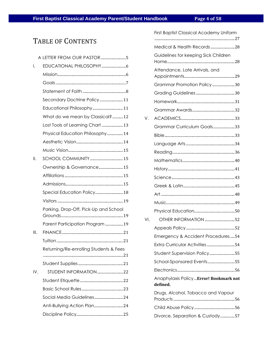# TABLE OF CONTENTS

|      | A LETTER FROM OUR PASTOR 5             |  |
|------|----------------------------------------|--|
| Ι.   |                                        |  |
|      |                                        |  |
|      |                                        |  |
|      |                                        |  |
|      | Secondary Doctrine Policy 11           |  |
|      | Educational Philosophy 11              |  |
|      | What do we mean by Classical?12        |  |
|      | Lost Tools of Learning Chart  13       |  |
|      | Physical Education Philosophy 14       |  |
|      |                                        |  |
|      |                                        |  |
| II.  |                                        |  |
|      | Ownership & Governance 15              |  |
|      |                                        |  |
|      |                                        |  |
|      | Special Education Policy 18            |  |
|      |                                        |  |
|      | Parking, Drop-Off, Pick-Up and School  |  |
|      | Parent Participation Program  19       |  |
| III. |                                        |  |
|      |                                        |  |
|      | Returning/Re-enrolling Students & Fees |  |
|      |                                        |  |
|      |                                        |  |
| IV.  |                                        |  |
|      |                                        |  |
|      |                                        |  |
|      |                                        |  |
|      |                                        |  |
|      |                                        |  |

|     | <b>First Baptist Classical Academy Uniform</b>      |
|-----|-----------------------------------------------------|
|     | Medical & Health Records28                          |
|     | Guidelines for keeping Sick Children                |
|     | Attendance, Late Arrivals, and                      |
|     | Grammar Promotion Policy30                          |
|     |                                                     |
|     |                                                     |
|     |                                                     |
| V.  |                                                     |
|     | Grammar Curriculum Goals33                          |
|     |                                                     |
|     |                                                     |
|     |                                                     |
|     |                                                     |
|     |                                                     |
|     |                                                     |
|     |                                                     |
|     |                                                     |
|     |                                                     |
|     |                                                     |
| VI. | OTHER INFORMATION 52                                |
|     |                                                     |
|     | Emergency & Accident Procedures54                   |
|     | Extra Curricular Activities54                       |
|     | Student Supervision Policy55                        |
|     | School-Sponsored Events55                           |
|     |                                                     |
|     | Anaphylaxis Policy  Error! Bookmark not<br>defined. |
|     | Drugs, Alcohol, Tobacco and Vapour                  |
|     |                                                     |
|     | Divorce, Separation & Custody57                     |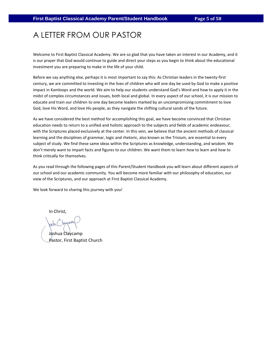# <span id="page-4-0"></span>A LETTER FROM OUR PASTOR

Welcome to First Baptist Classical Academy. We are so glad that you have taken an interest in our Academy, and it is our prayer that God would continue to guide and direct your steps as you begin to think about the educational investment you are preparing to make in the life of your child.

Before we say anything else, perhaps it is most important to say this: As Christian leaders in the twenty-first century, we are committed to investing in the lives of children who will one day be used by God to make a positive impact in Kamloops and the world. We aim to help our students understand God's Word and how to apply it in the midst of complex circumstances and issues, both local and global. In every aspect of our school, it is our mission to educate and train our children to one day become leaders marked by an uncompromising commitment to love God, love His Word, and love His people, as they navigate the shifting cultural sands of the future.

As we have considered the best method for accomplishing this goal, we have become convinced that Christian education needs to return to a unified and holistic approach to the subjects and fields of academic endeavour, with the Scriptures placed exclusively at the center. In this vein, we believe that the ancient methods of classical learning and the disciplines of grammar, logic and rhetoric, also known as the Trivium, are essential to every subject of study. We find these same ideas within the Scriptures as knowledge, understanding, and wisdom. We don't merely want to impart facts and figures to our children. We want them to learn *how* to learn and *how* to think critically for themselves.

As you read through the following pages of this Parent/Student Handbook you will learn about different aspects of our school and our academic community. You will become more familiar with our philosophy of education, our view of the Scriptures, and our approach at First Baptist Classical Academy.

We look forward to sharing this journey with you!

In Christ,

Joshua Claycamp Pastor, First Baptist Church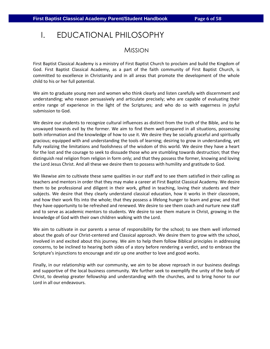# <span id="page-5-1"></span><span id="page-5-0"></span>I. EDUCATIONAL PHILOSOPHY

## **MISSION**

First Baptist Classical Academy is a ministry of First Baptist Church to proclaim and build the Kingdom of God. First Baptist Classical Academy, as a part of the faith community of First Baptist Church, is committed to excellence in Christianity and in all areas that promote the development of the whole child to his or her full potential.

We aim to graduate young men and women who think clearly and listen carefully with discernment and understanding; who reason persuasively and articulate precisely; who are capable of evaluating their entire range of experience in the light of the Scriptures; and who do so with eagerness in joyful submission to God.

We desire our students to recognize cultural influences as distinct from the truth of the Bible, and to be unswayed towards evil by the former. We aim to find them well-prepared in all situations, possessing both information and the knowledge of how to use it. We desire they be socially graceful and spiritually gracious; equipped with and understanding the tools of learning; desiring to grow in understanding, yet fully realizing the limitations and foolishness of the wisdom of this world. We desire they have a heart for the lost and the courage to seek to dissuade those who are stumbling towards destruction; that they distinguish real religion from religion in form only; and that they possess the former, knowing and loving the Lord Jesus Christ. And all these we desire them to possess with humility and gratitude to God.

We likewise aim to cultivate these same qualities in our staff and to see them satisfied in their calling as teachers and mentors in order that they may make a career at First Baptist Classical Academy. We desire them to be professional and diligent in their work, gifted in teaching, loving their students and their subjects. We desire that they clearly understand classical education, how it works in their classroom, and how their work fits into the whole; that they possess a lifelong hunger to learn and grow; and that they have opportunity to be refreshed and renewed. We desire to see them coach and nurture new staff and to serve as academic mentors to students. We desire to see them mature in Christ, growing in the knowledge of God with their own children walking with the Lord.

We aim to cultivate in our parents a sense of responsibility for the school; to see them well informed about the goals of our Christ-centered and Classical approach. We desire them to grow with the school, involved in and excited about this journey. We aim to help them follow Biblical principles in addressing concerns, to be inclined to hearing both sides of a story before rendering a verdict, and to embrace the Scripture's injunctions to encourage and stir up one another to love and good works.

Finally, in our relationship with our community, we aim to be above reproach in our business dealings and supportive of the local business community. We further seek to exemplify the unity of the body of Christ, to develop greater fellowship and understanding with the churches, and to bring honor to our Lord in all our endeavours.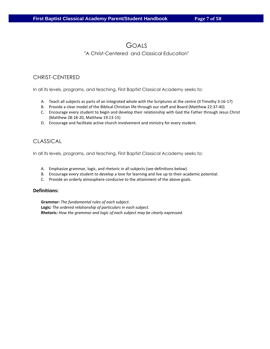## GOALS

## "A Christ-Centered and Classical Education"

## <span id="page-6-0"></span>CHRIST-CENTERED

In all its levels, programs, and teaching, First Baptist Classical Academy seeks to:

- A. Teach all subjects as parts of an integrated whole with the Scriptures at the centre (II Timothy 3:16-17)
- B. Provide a clear model of the Biblical Christian life through our staff and Board (Matthew 22:37-40)
- C. Encourage every student to begin and develop their relationship with God the Father through Jesus Christ (Matthew 28:18-20, Matthew 19:13-15)
- D. Encourage and facilitate active church involvement and ministry for every student.

## CLASSICAL

In all its levels, programs, and teaching, First Baptist Classical Academy seeks to:

- A. Emphasize grammar, logic, and rhetoric in all subjects (see definitions below).
- B. Encourage every student to develop a love for learning and live up to their academic potential.
- C. Provide an orderly atmosphere conducive to the attainment of the above goals.

## **Definitions:**

**Grammar:** *The fundamental rules of each subject.* **Logic***: The ordered relationship of particulars in each subject.* **Rhetoric***: How the grammar and logic of each subject may be clearly expressed.*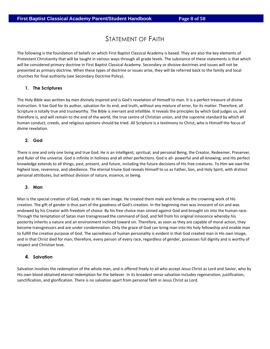## STATEMENT OF FAITH

<span id="page-7-0"></span>The following is the foundation of beliefs on which First Baptist Classical Academy is based. They are also the key elements of Protestant Christianity that will be taught in various ways through all grade levels. The substance of these statements is that which will be considered primary doctrine in First Baptist Classical Academy. Secondary or divisive doctrines and issues will not be presented as primary doctrine. When these types of doctrine or issues arise, they will be referred back to the family and local churches for final authority (see Secondary Doctrine Policy).

## **1. The Scriptures**

The Holy Bible was written by men divinely inspired and is God's revelation of Himself to man. It is a perfect treasure of divine instruction. It has God for its author, salvation for its end, and truth, without any mixture of error, for its matter. Therefore, all Scripture is totally true and trustworthy. The Bible is inerrant and infallible. It reveals the principles by which God judges us, and therefore is, and will remain to the end of the world, the true centre of Christian union, and the supreme standard by which all human conduct, creeds, and religious opinions should be tried. All Scripture is a testimony to Christ, who is Himself the focus of divine revelation.

## **2. God**

There is one and only one living and true God. He is an intelligent, spiritual, and personal Being, the Creator, Redeemer, Preserver, and Ruler of the universe. God is infinite in holiness and all other perfections. God is all- powerful and all-knowing; and His perfect knowledge extends to all things, past, present, and future, including the future decisions of His free creatures. To Him we owe the highest love, reverence, and obedience. The eternal triune God reveals Himself to us as Father, Son, and Holy Spirit, with distinct personal attributes, but without division of nature, essence, or being.

## **3. Man**

Man is the special creation of God, made in His own image. He created them male and female as the crowning work of His creation. The gift of gender is thus part of the goodness of God's creation. In the beginning man was innocent of sin and was endowed by his Creator with freedom of choice. By his free choice man sinned against God and brought sin into the human race. Through the temptation of Satan man transgressed the command of God, and fell from his original innocence whereby his posterity inherits a nature and an environment inclined toward sin. Therefore, as soon as they are capable of moral action, they become transgressors and are under condemnation. Only the grace of God can bring man into His holy fellowship and enable man to fulfill the creative purpose of God. The sacredness of human personality is evident in that God created man in His own image, and in that Christ died for man; therefore, every person of every race, regardless of gender, possesses full dignity and is worthy of respect and Christian love.

## **4. Salvation**

Salvation involves the redemption of the whole man, and is offered freely to all who accept Jesus Christ as Lord and Savior, who by His own blood obtained eternal redemption for the believer. In its broadest sense salvation includes regeneration, justification, sanctification, and glorification. There is no salvation apart from personal faith in Jesus Christ as Lord.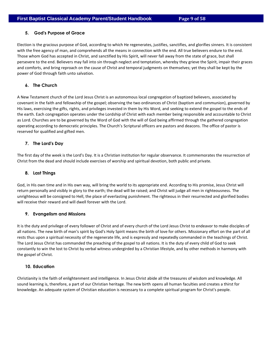## **5. God's Purpose of Grace**

Election is the gracious purpose of God, according to which He regenerates, justifies, sanctifies, and glorifies sinners. It is consistent with the free agency of man, and comprehends all the means in connection with the end. All true believers endure to the end. Those whom God has accepted in Christ, and sanctified by His Spirit, will never fall away from the state of grace, but shall persevere to the end. Believers may fall into sin through neglect and temptation, whereby they grieve the Spirit, impair their graces and comforts, and bring reproach on the cause of Christ and temporal judgments on themselves; yet they shall be kept by the power of God through faith unto salvation.

## **6. The Church**

A New Testament church of the Lord Jesus Christ is an autonomous local congregation of baptized believers, associated by covenant in the faith and fellowship of the gospel; observing the two ordinances of Christ (baptism and communion), governed by His laws, exercising the gifts, rights, and privileges invested in them by His Word, and seeking to extend the gospel to the ends of the earth. Each congregation operates under the Lordship of Christ with each member being responsible and accountable to Christ as Lord. Churches are to be governed by the Word of God with the will of God being affirmed through the gathered congregation operating according to democratic principles. The Church's Scriptural officers are pastors and deacons. The office of pastor is reserved for qualified and gifted men.

## **7. The Lord's Day**

The first day of the week is the Lord's Day. It is a Christian institution for regular observance. It commemorates the resurrection of Christ from the dead and should include exercises of worship and spiritual devotion, both public and private.

## **8. Last Things**

God, in His own time and in His own way, will bring the world to its appropriate end. According to His promise, Jesus Christ will return personally and visibly in glory to the earth; the dead will be raised; and Christ will judge all men in righteousness. The unrighteous will be consigned to Hell, the place of everlasting punishment. The righteous in their resurrected and glorified bodies will receive their reward and will dwell forever with the Lord.

## **9. Evangelism and Missions**

It is the duty and privilege of every follower of Christ and of every church of the Lord Jesus Christ to endeavor to make disciples of all nations. The new birth of man's spirit by God's Holy Spirit means the birth of love for others. Missionary effort on the part of all rests thus upon a spiritual necessity of the regenerate life, and is expressly and repeatedly commanded in the teachings of Christ. The Lord Jesus Christ has commanded the preaching of the gospel to all nations. It is the duty of every child of God to seek constantly to win the lost to Christ by verbal witness undergirded by a Christian lifestyle, and by other methods in harmony with the gospel of Christ.

## **10. Education**

Christianity is the faith of enlightenment and intelligence. In Jesus Christ abide all the treasures of wisdom and knowledge. All sound learning is, therefore, a part of our Christian heritage. The new birth opens all human faculties and creates a thirst for knowledge. An adequate system of Christian education is necessary to a complete spiritual program for Christ's people.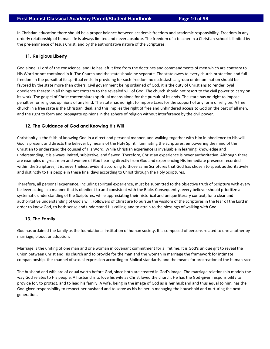In Christian education there should be a proper balance between academic freedom and academic responsibility. Freedom in any orderly relationship of human life is always limited and never absolute. The freedom of a teacher in a Christian school is limited by the pre-eminence of Jesus Christ, and by the authoritative nature of the Scriptures.

## **11. Religious Liberty**

God alone is Lord of the conscience, and He has left it free from the doctrines and commandments of men which are contrary to His Word or not contained in it. The Church and the state should be separate. The state owes to every church protection and full freedom in the pursuit of its spiritual ends. In providing for such freedom no ecclesiastical group or denomination should be favored by the state more than others. Civil government being ordained of God, it is the duty of Christians to render loyal obedience thereto in all things not contrary to the revealed will of God. The church should not resort to the civil power to carry on its work. The gospel of Christ contemplates spiritual means alone for the pursuit of its ends. The state has no right to impose penalties for religious opinions of any kind. The state has no right to impose taxes for the support of any form of religion. A free church in a free state is the Christian ideal, and this implies the right of free and unhindered access to God on the part of all men, and the right to form and propagate opinions in the sphere of religion without interference by the civil power.

## **12. The Guidance of God and Knowing His Will**

Christianity is the faith of knowing God in a direct and personal manner, and walking together with Him in obedience to His will. God is present and directs the believer by means of the Holy Spirit illuminating the Scriptures, empowering the mind of the Christian to understand the counsel of His Word. While Christian experience is invaluable in learning, knowledge and understanding, it is always limited, subjective, and flawed. Therefore, Christian experience is never authoritative. Although there are examples of great men and women of God hearing directly from God and experiencing His immediate presence recorded within the Scriptures, it is, nevertheless, evident according to those same Scriptures that God has chosen to speak authoritatively and distinctly to His people in these final days according to Christ through the Holy Scriptures.

Therefore, all personal experience, including spiritual experience, must be submitted to the objective truth of Scripture with every believer acting in a manner that is obedient to and consistent with the Bible. Consequently, every believer should prioritize a systematic understanding of the Scriptures, while appreciating their historical and unique literary context, for a clear and authoritative understanding of God's will. Followers of Christ are to pursue the wisdom of the Scriptures in the fear of the Lord in order to know God, to both sense and understand His calling, and to attain to the blessings of walking with God.

## **13. The Family**

God has ordained the family as the foundational institution of human society. It is composed of persons related to one another by marriage, blood, or adoption.

Marriage is the uniting of one man and one woman in covenant commitment for a lifetime. It is God's unique gift to reveal the union between Christ and His church and to provide for the man and the woman in marriage the framework for intimate companionship, the channel of sexual expression according to Biblical standards, and the means for procreation of the human race.

The husband and wife are of equal worth before God, since both are created in God's image. The marriage relationship models the way God relates to His people. A husband is to love his wife as Christ loved the church. He has the God-given responsibility to provide for, to protect, and to lead his family. A wife, being in the image of God as is her husband and thus equal to him, has the God-given responsibility to respect her husband and to serve as his helper in managing the household and nurturing the next generation.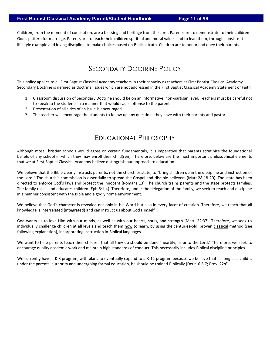Children, from the moment of conception, are a blessing and heritage from the Lord. Parents are to demonstrate to their children God's pattern for marriage. Parents are to teach their children spiritual and moral values and to lead them, through consistent lifestyle example and loving discipline, to make choices based on Biblical truth. Children are to honor and obey their parents.

## SECONDARY DOCTRINE POLICY

<span id="page-10-0"></span>This policy applies to all First Baptist Classical Academy teachers in their capacity as teachers at First Baptist Classical Academy. Secondary Doctrine is defined as doctrinal issues which are not addressed in the First Baptist Classical Academy Statement of Faith

- 1. Classroom discussion of Secondary Doctrine should be on an informative, non-partisan level. Teachers must be careful not to speak to the students in a manner that would cause offense to the parents.
- 2. Presentation of all sides of an issue is encouraged.
- 3. The teacher will encourage the students to follow up any questions they have with their parents and pastor.

## EDUCATIONAL PHILOSOPHY

<span id="page-10-1"></span>Although most Christian schools would agree on certain fundamentals, it is imperative that parents scrutinize the foundational beliefs of any school in which they may enroll their child(ren). Therefore, below are the most important philosophical elements that we at First Baptist Classical Academy believe distinguish our approach to education.

We believe that the Bible clearly instructs parents, not the church or state, to "bring children up in the discipline and instruction of the Lord." The church's commission is essentially to spread the Gospel and disciple believers (Matt.28:18-20). The state has been directed to enforce God's laws and protect the innocent (Romans 13). The church trains parents and the state protects families. The family raises and educates children (Eph.6:1-4). Therefore, under the delegation of the family, we seek to teach and discipline in a manner consistent with the Bible and a godly home environment.

We believe that God's character is revealed not only in His Word but also in every facet of creation. Therefore, we teach that all knowledge is interrelated (integrated) and can instruct us about God Himself.

God wants us to love Him with our minds, as well as with our hearts, souls, and strength (Matt. 22:37). Therefore, we seek to individually challenge children at all levels and teach them how to learn, by using the centuries-old, proven classical method (see following explanation), incorporating instruction in Biblical languages.

We want to help parents teach their children that all they do should be done "heartily, as unto the Lord." Therefore, we seek to encourage quality academic work and maintain high standards of conduct. This necessarily includes Biblical discipline principles.

We currently have a K-8 program, with plans to eventually expand to a K-12 program because we believe that as long as a child is under the parents' authority and undergoing formal education, he should be trained Biblically (Deut. 6:6,7; Prov. 22:6).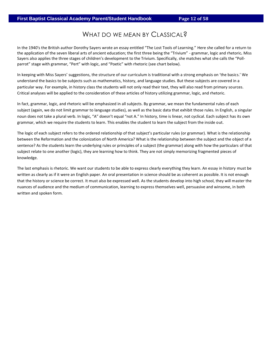## WHAT DO WE MEAN BY CLASSICAL?

<span id="page-11-0"></span>In the 1940's the British author Dorothy Sayers wrote an essay entitled "The Lost Tools of Learning." Here she called for a return to the application of the seven liberal arts of ancient education; the first three being the "Trivium" - grammar, logic and rhetoric*.* Miss Sayers also applies the three stages of children's development to the Trivium. Specifically, she matches what she calls the "Pollparrot" stage with grammar, "Pert" with logic, and "Poetic" with rhetoric (see chart below).

In keeping with Miss Sayers' suggestions, the structure of our curriculum is traditional with a strong emphasis on 'the basics.' We understand the basics to be subjects such as mathematics, history, and language studies. But these subjects are covered in a particular way. For example, in history class the students will not only read their text, they will also read from primary sources. Critical analyses will be applied to the consideration of these articles of history utilizing grammar, logic, and rhetoric.

In fact, grammar, logic, and rhetoric will be emphasized in all subjects. By grammar, we mean the fundamental rules of each subject (again, we do not limit grammar to language studies), as well as the basic data that exhibit those rules. In English, a singular noun does not take a plural verb. In logic, "A" doesn't equal "not A." In history, time is linear, not cyclical. Each subject has its own grammar, which we require the students to learn. This enables the student to learn the subject from the inside out.

The logic of each subject refers to the ordered relationship of that subject's particular rules (or grammar). What is the relationship between the Reformation and the colonization of North America? What is the relationship between the subject and the object of a sentence? As the students learn the underlying rules or principles of a subject (the grammar) along with how the particulars of that subject relate to one another (logic), they are learning how to think. They are not simply memorizing fragmented pieces of knowledge.

The last emphasis is rhetoric. We want our students to be able to express clearly everything they learn. An essay in history must be written as clearly as if it were an English paper. An oral presentation in science should be as coherent as possible. It is not enough that the history or science be correct. It must also be expressed well. As the students develop into high school, they will master the nuances of audience and the medium of communication, learning to express themselves well, persuasive and winsome, in both written and spoken form.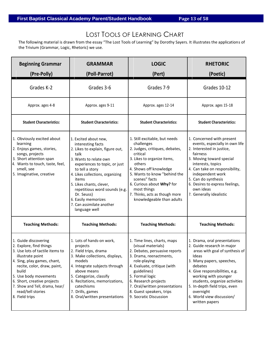# LOST TOOLS OF LEARNING CHART

<span id="page-12-0"></span>The following material is drawn from the essay "The Lost Tools of Learning" by Dorothy Sayers. It illustrates the applications of the Trivium (Grammar, Logic, Rhetoric) we use.

| <b>Beginning Grammar</b><br>(Pre-Polly)                                                                                                                                                                                                                                                                        | <b>GRAMMAR</b><br>(Poll-Parrot)                                                                                                                                                                                                                                                                                                                                   | <b>LOGIC</b><br>(Pert)                                                                                                                                                                                                                                                                                                   | <b>RHETORIC</b><br>(Poetic)                                                                                                                                                                                                                                                                                                            |
|----------------------------------------------------------------------------------------------------------------------------------------------------------------------------------------------------------------------------------------------------------------------------------------------------------------|-------------------------------------------------------------------------------------------------------------------------------------------------------------------------------------------------------------------------------------------------------------------------------------------------------------------------------------------------------------------|--------------------------------------------------------------------------------------------------------------------------------------------------------------------------------------------------------------------------------------------------------------------------------------------------------------------------|----------------------------------------------------------------------------------------------------------------------------------------------------------------------------------------------------------------------------------------------------------------------------------------------------------------------------------------|
| Grades K-2                                                                                                                                                                                                                                                                                                     | Grades 3-6                                                                                                                                                                                                                                                                                                                                                        | Grades 7-9                                                                                                                                                                                                                                                                                                               | Grades 10-12                                                                                                                                                                                                                                                                                                                           |
| Approx. ages 4-8                                                                                                                                                                                                                                                                                               | Approx. ages 9-11                                                                                                                                                                                                                                                                                                                                                 | Approx. ages 12-14                                                                                                                                                                                                                                                                                                       | Approx. ages 15-18                                                                                                                                                                                                                                                                                                                     |
| <b>Student Characteristics:</b>                                                                                                                                                                                                                                                                                | <b>Student Characteristics:</b>                                                                                                                                                                                                                                                                                                                                   | <b>Student Characteristics:</b>                                                                                                                                                                                                                                                                                          | <b>Student Characteristics:</b>                                                                                                                                                                                                                                                                                                        |
| 1. Obviously excited about<br>learning<br>2. Enjoys games, stories,<br>songs, projects<br>3. Short attention span<br>4. Wants to touch, taste, feel,<br>smell, see<br>5. Imaginative, creative                                                                                                                 | 1. Excited about new,<br>interesting facts<br>2. Likes to explain, figure out,<br>talk<br>3. Wants to relate own<br>experiences to topic, or just<br>to tell a story<br>4. Likes collections, organizing<br>items<br>5. Likes chants, clever,<br>repetitious word sounds (e.g.<br>Dr. Seuss)<br>6. Easily memorizes<br>7. Can assimilate another<br>language well | 1. Still excitable, but needs<br>challenges<br>2. Judges, critiques, debates,<br>critical<br>3. Likes to organize items,<br>others<br>4. Shows off knowledge<br>5. Wants to know "behind the<br>scenes" facts<br>6. Curious about Why? for<br>most things<br>7. Thinks, acts as though more<br>knowledgeable than adults | 1. Concerned with present<br>events, especially in own life<br>2. Interested in justice,<br>fairness<br>3. Moving toward special<br>interests, topics<br>4. Can take on responsibility,<br>independent work<br>5. Can do synthesis<br>6. Desires to express feelings,<br>own ideas<br>7. Generally idealistic                          |
| <b>Teaching Methods:</b>                                                                                                                                                                                                                                                                                       | <b>Teaching Methods:</b>                                                                                                                                                                                                                                                                                                                                          | <b>Teaching Methods:</b>                                                                                                                                                                                                                                                                                                 | <b>Teaching Methods:</b>                                                                                                                                                                                                                                                                                                               |
| 1. Guide discovering<br>2. Explore, find things<br>3. Use lots of tactile items to<br>illustrate point<br>4. Sing, play games, chant,<br>recite, color, draw, paint,<br>build<br>5. Use body movements<br>6. Short, creative projects<br>7. Show and Tell, drama, hear/<br>read/tell stories<br>8. Field trips | 1. Lots of hands-on work,<br>projects<br>2. Field trips, drama<br>3. Make collections, displays,<br>models<br>4. Integrate subjects through<br>above means<br>5. Categorize, classify<br>6. Recitations, memorizations,<br>catechisms<br>7. Drills, games<br>8. Oral/written presentations                                                                        | 1. Time lines, charts, maps<br>(visual materials)<br>2. Debates, persuasive reports<br>3. Drama, reenactments,<br>role-playing<br>4. Evaluate, critique (with<br>guidelines)<br>5. Formal logic<br>6. Research projects<br>7. Oral/written presentations<br>8. Guest speakers, trips<br>9. Socratic Discussion           | 1. Drama, oral presentations<br>2. Guide research in major<br>areas with goal of synthesis of<br>Ideas<br>3. Many papers, speeches,<br>debates<br>4. Give responsibilities, e.g.<br>working with younger<br>students, organize activities<br>5. In-depth field trips, even<br>overnight<br>6. World view discussion/<br>written papers |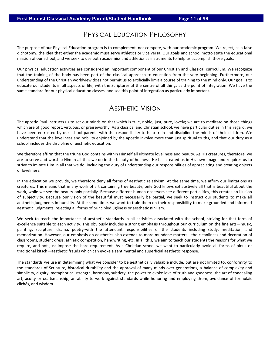## PHYSICAL EDUCATION PHILOSOPHY

<span id="page-13-0"></span>The purpose of our Physical Education program is to complement, not compete, with our academic program. We reject, as a false dichotomy, the idea that either the academic must serve athletics or vice versa. Our goals and school motto state the educational mission of our school, and we seek to use both academics and athletics as instruments to help us accomplish those goals.

Our physical education activities are considered an important component of our Christian and Classical curriculum. We recognize that the training of the body has been part of the classical approach to education from the very beginning. Furthermore, our understanding of the Christian worldview does not permit us to artificially limit a course of training to the mind only. Our goal is to educate our students in all aspects of life, with the Scriptures at the centre of all things as the point of integration. We have the same standard for our physical education classes, and see this point of integration as particularly important.

# AESTHETIC VISION

<span id="page-13-1"></span>The apostle Paul instructs us to set our minds on that which is true, noble, just, pure, lovely; we are to meditate on those things which are of good report, virtuous, or praiseworthy. As a classical and Christian school, we have particular duties in this regard; we have been entrusted by our school parents with the responsibility to help train and discipline the minds of their children. We understand that the loveliness and nobility enjoined by the apostle involve more than just spiritual truths, and that our duty as a school includes the discipline of aesthetic education.

We therefore affirm that the triune God contains within Himself all ultimate loveliness and beauty. As His creatures, therefore, we are to serve and worship Him in all that we do in the beauty of holiness. He has created us in His own image and requires us to strive to imitate Him in all that we do, including the duty of understanding our responsibilities of appreciating and creating objects of loveliness.

In the education we provide, we therefore deny all forms of aesthetic relativism. At the same time, we affirm our limitations as creatures. This means that in any work of art containing true beauty, only God knows exhaustively all that is beautiful about the work, while we see the beauty only partially. Because different human observers see different partialities, this creates an illusion of subjectivity. Because our vision of the beautiful must necessarily be partial, we seek to instruct our students to make all aesthetic judgments in humility. At the same time, we want to train them on their responsibility to make grounded and informed aesthetic judgments, rejecting all forms of principled ugliness or aesthetic nihilism.

We seek to teach the importance of aesthetic standards in all activities associated with the school, striving for that form of excellence suitable to each activity. This obviously includes a strong emphasis throughout our curriculum on the fine arts—music, painting, sculpture, drama, poetry-with the attendant responsibilities of the students including study, meditation, and memorization. However, our emphasis on aesthetics also extends to more mundane matters—the cleanliness and decoration of classrooms, student dress, athletic competition, handwriting, etc. In all this, we aim to teach our students the reasons for what we require, and not just impose the bare requirement. As a Christian school we want to particularly avoid all forms of pious or traditional kitsch—aesthetic frauds which can evoke a sentimental and superficial aesthetic response.

The standards we use in determining what we consider to be aesthetically valuable include, but are not limited to, conformity to the standards of Scripture, historical durability and the approval of many minds over generations, a balance of complexity and simplicity, dignity, metaphorical strength, harmony, subtlety, the power to evoke love of truth and goodness, the art of concealing art, acuity or craftsmanship, an ability to work against standards while honoring and employing them, avoidance of formulaic clichés, and wisdom.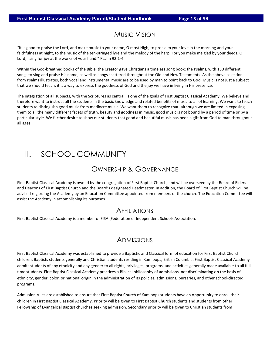## MUSIC VISION

<span id="page-14-0"></span>"It is good to praise the Lord, and make music to your name, O most High, to proclaim your love in the morning and your faithfulness at night, to the music of the ten-stringed lyre and the melody of the harp. For you make me glad by your deeds, O Lord; I sing for joy at the works of your hand." Psalm 92:1-4

Within the God-breathed books of the Bible, the Creator gave Christians a timeless song book; the Psalms, with 150 different songs to sing and praise His name, as well as songs scattered throughout the Old and New Testaments. As the above selection from Psalms illustrates, both vocal and instrumental music are to be used by man to point back to God. Music is not just a subject that we should teach, it is a way to express the goodness of God and the joy we have in living in His presence.

The integration of all subjects, with the Scriptures as central, is one of the goals of First Baptist Classical Academy. We believe and therefore want to instruct all the students in the basic knowledge and related benefits of music to all of learning. We want to teach students to distinguish good music from mediocre music. We want them to recognize that, although we are limited in exposing them to all the many different facets of truth, beauty and goodness in music, good music is not bound by a period of time or by a particular style. We further desire to show our students that good and beautiful music has been a gift from God to man throughout all ages.

# <span id="page-14-2"></span><span id="page-14-1"></span>II. SCHOOL COMMUNITY

# OWNERSHIP & GOVERNANCE

First Baptist Classical Academy is owned by the congregation of First Baptist Church, and will be overseen by the Board of Elders and Deacons of First Baptist Church and the Board's designated Headmaster. In addition, the Board of First Baptist Church will be advised regarding the Academy by an Education Committee appointed from members of the church. The Education Committee will assist the Academy in accomplishing its purposes.

## **AFFILIATIONS**

<span id="page-14-3"></span>First Baptist Classical Academy is a member of FISA (Federation of Independent Schools Association.

## ADMISSIONS

<span id="page-14-4"></span>First Baptist Classical Academy was established to provide a Baptistic and Classical form of education for First Baptist Church children, Baptists students generally and Christian students residing in Kamloops, British Columbia. First Baptist Classical Academy admits students of any ethnicity and any gender to all rights, privileges, programs, and activities generally made available to all fulltime students. First Baptist Classical Academy practices a Biblical philosophy of admissions, not discriminating on the basis of ethnicity, gender, color, or national origin in the administration of its policies, admissions, bursaries, and other school-directed programs.

Admission rules are established to ensure that First Baptist Church of Kamloops students have an opportunity to enroll their children in First Baptist Classical Academy. Priority will be given to First Baptist Church students and students from other Fellowship of Evangelical Baptist churches seeking admission. Secondary priority will be given to Christian students from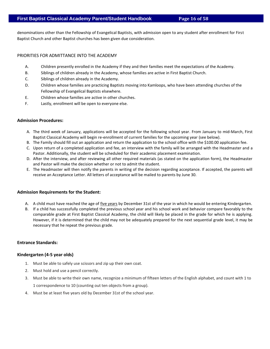## **First Baptist Classical Academy Parent/Student Handbook Page 16 of 58**

denominations other than the Fellowship of Evangelical Baptists, with admission open to any student after enrollment for First Baptist Church and other Baptist churches has been given due consideration.

## PRIORITIES FOR ADMITTANCE INTO THE ACADEMY

- A. Children presently enrolled in the Academy if they and their families meet the expectations of the Academy.
- B. Siblings of children already in the Academy, whose families are active in First Baptist Church.
- C. Siblings of children already in the Academy.
- D. Children whose families are practicing Baptists moving into Kamloops, who have been attending churches of the Fellowship of Evangelical Baptists elsewhere.
- E. Children whose families are active in other churches.
- F. Lastly, enrollment will be open to everyone else.

## **Admission Procedures:**

- A. The third week of January, applications will be accepted for the following school year. From January to mid-March, First Baptist Classical Academy will begin re-enrollment of current families for the upcoming year (see below).
- B. The Family should fill out an application and return the application to the school office with the \$100.00 application fee.
- C. Upon return of a completed application and fee, an interview with the family will be arranged with the Headmaster and a Pastor. Additionally, the student will be scheduled for their academic placement examination.
- D. After the interview, and after reviewing all other required materials (as stated on the application form), the Headmaster and Pastor will make the decision whether or not to admit the student.
- E. The Headmaster will then notify the parents in writing of the decision regarding acceptance. If accepted, the parents will receive an Acceptance Letter. All letters of acceptance will be mailed to parents by June 30.

## **Admission Requirements for the Student:**

- A. A child must have reached the age of five years by December 31st of the year in which he would be entering Kindergarten.
- B. If a child has successfully completed the previous school year and his school work and behavior compare favorably to the comparable grade at First Baptist Classical Academy, the child will likely be placed in the grade for which he is applying. However, if it is determined that the child may not be adequately prepared for the next sequential grade level, it may be necessary that he repeat the previous grade.

## **Entrance Standards:**

## **Kindergarten (4-5 year olds)**

- 1. Must be able to safely use scissors and zip up their own coat.
- 2. Must hold and use a pencil correctly.
- 3. Must be able to write their own name, recognize a minimum of fifteen letters of the English alphabet, and count with 1 to 1 correspondence to 10 (counting out ten objects from a group).
- 4. Must be at least five years old by December 31st of the school year.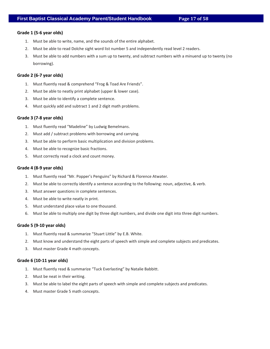## **Grade 1 (5-6 year olds)**

- 1. Must be able to write, name, and the sounds of the entire alphabet.
- 2. Must be able to read Dolche sight word list number 5 and independently read level 2 readers.
- 3. Must be able to add numbers with a sum up to twenty, and subtract numbers with a minuend up to twenty (no borrowing).

## **Grade 2 (6-7 year olds)**

- 1. Must fluently read & comprehend "Frog & Toad Are Friends".
- 2. Must be able to neatly print alphabet (upper & lower case).
- 3. Must be able to identify a complete sentence.
- 4. Must quickly add and subtract 1 and 2 digit math problems.

## **Grade 3 (7-8 year olds)**

- 1. Must fluently read "Madeline" by Ludwig Bemelmans.
- 2. Must add / subtract problems with borrowing and carrying.
- 3. Must be able to perform basic multiplication and division problems.
- 4. Must be able to recognize basic fractions.
- 5. Must correctly read a clock and count money.

## **Grade 4 (8-9 year olds)**

- 1. Must fluently read "Mr. Popper's Penguins" by Richard & Florence Atwater.
- 2. Must be able to correctly identify a sentence according to the following: noun, adjective, & verb.
- 3. Must answer questions in complete sentences.
- 4. Must be able to write neatly in print.
- 5. Must understand place value to one thousand.
- 6. Must be able to multiply one digit by three digit numbers, and divide one digit into three digit numbers.

## **Grade 5 (9-10 year olds)**

- 1. Must fluently read & summarize "Stuart Little" by E.B. White.
- 2. Must know and understand the eight parts of speech with simple and complete subjects and predicates.
- 3. Must master Grade 4 math concepts.

## **Grade 6 (10-11 year olds)**

- 1. Must fluently read & summarize "Tuck Everlasting" by Natalie Babbitt.
- 2. Must be neat in their writing.
- 3. Must be able to label the eight parts of speech with simple and complete subjects and predicates.
- 4. Must master Grade 5 math concepts.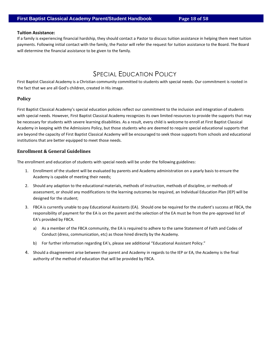#### **Tuition Assistance:**

If a family is experiencing financial hardship, they should contact a Pastor to discuss tuition assistance in helping them meet tuition payments. Following initial contact with the family, the Pastor will refer the request for tuition assistance to the Board. The Board will determine the financial assistance to be given to the family.

# SPECIAL EDUCATION POLICY

<span id="page-17-0"></span>First Baptist Classical Academy is a Christian community committed to students with special needs. Our commitment is rooted in the fact that we are all God's children, created in His image.

## **Policy**

First Baptist Classical Academy's special education policies reflect our commitment to the inclusion and integration of students with special needs. However, First Baptist Classical Academy recognizes its own limited resources to provide the supports that may be necessary for students with severe learning disabilities. As a result, every child is welcome to enroll at First Baptist Classical Academy in keeping with the Admissions Policy, but those students who are deemed to require special educational supports that are beyond the capacity of First Baptist Classical Academy will be encouraged to seek those supports from schools and educational institutions that are better equipped to meet those needs.

## **Enrollment & General Guidelines**

The enrollment and education of students with special needs will be under the following guidelines:

- 1. Enrollment of the student will be evaluated by parents and Academy administration on a yearly basis to ensure the Academy is capable of meeting their needs;
- 2. Should any adaption to the educational materials, methods of instruction, methods of discipline, or methods of assessment, or should any modifications to the learning outcomes be required, an Individual Education Plan (IEP) will be designed for the student;
- 3. FBCA is currently unable to pay Educational Assistants (EA). Should one be required for the student's success at FBCA, the responsibility of payment for the EA is on the parent and the selection of the EA must be from the pre-approved list of EA's provided by FBCA.
	- a) As a member of the FBCA community, the EA is required to adhere to the same Statement of Faith and Codes of Conduct (dress, communication, etc) as those hired directly by the Academy.
	- b) For further information regarding EA's, please see additional "Educational Assistant Policy."
- 4. Should a disagreement arise between the parent and Academy in regards to the IEP or EA, the Academy is the final authority of the method of education that will be provided by FBCA.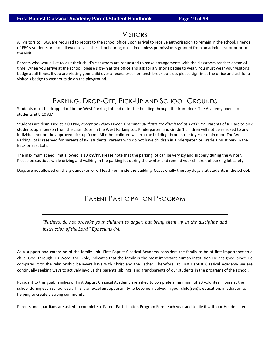## VISITORS

<span id="page-18-0"></span>All visitors to FBCA are required to report to the school office upon arrival to receive authorization to remain in the school. Friends of FBCA students are not allowed to visit the school during class time unless permission is granted from an administrator prior to the visit.

Parents who would like to visit their child's classroom are requested to make arrangements with the classroom teacher ahead of time. When you arrive at the school, please sign-in at the office and ask for a visitor's badge to wear. You must wear your visitor's badge at all times. If you are visiting your child over a recess break or lunch break outside, please sign-in at the office and ask for a visitor's badge to wear outside on the playground.

# PARKING, DROP-OFF, PICK-UP AND SCHOOL GROUNDS

<span id="page-18-1"></span>Students must be dropped off in the West Parking Lot and enter the building through the front door. The Academy opens to students at 8:10 AM.

Students are dismissed at 3:00 PM, *except on Fridays when Grammar students are dismissed at 12:00 PM*. Parents of K-1 are to pick students up in person from the Latin Door, in the West Parking Lot. Kindergarten and Grade 1 children will not be released to any individual not on the approved pick-up form. All other children will exit the building through the foyer or main door. The Wet Parking Lot is reserved for parents of K-1 students. Parents who do not have children in Kindergarten or Grade 1 must park in the Back or East Lots.

The maximum speed limit allowed is 10 km/hr. Please note that the parking lot can be very icy and slippery during the winter. Please be cautious while driving and walking in the parking lot during the winter and remind your children of parking lot safety.

<span id="page-18-2"></span>Dogs are not allowed on the grounds (on or off leash) or inside the building. Occasionally therapy dogs visit students in the school.

# PARENT PARTICIPATION PROGRAM

*"Fathers, do not provoke your children to anger, but bring them up in the discipline and instruction of the Lord." Ephesians 6:4.*

As a support and extension of the family unit, First Baptist Classical Academy considers the family to be of first importance to a child. God, through His Word, the Bible, indicates that the family is the most important human institution He designed, since He compares it to the relationship believers have with Christ and the Father. Therefore, at First Baptist Classical Academy we are continually seeking ways to actively involve the parents, siblings, and grandparents of our students in the programs of the school.

Pursuant to this goal, families of First Baptist Classical Academy are asked to complete a minimum of 20 volunteer hours at the school during each school year. This is an excellent opportunity to become involved in your child(ren)'s education, in addition to helping to create a strong community.

Parents and guardians are asked to complete a [Parent Participation Program](http://st-anns.ca/wp-content/uploads/2016-2017-Parent-Participation-Program-1.pdf) Form each year and to file it with our Headmaster,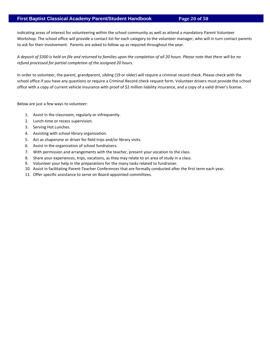## **First Baptist Classical Academy Parent/Student Handbook Page 20 of 58**

indicating areas of interest for volunteering within the school community as well as attend a mandatory Parent Volunteer Workshop. The school office will provide a contact list for each category to the volunteer manager, who will in turn contact parents to ask for their involvement. Parents are asked to follow up as required throughout the year.

*A deposit of \$300 is held on file and returned to families upon the completion of all 20 hours. Please note that there will be no refund processed for partial completion of the assigned 20 hours.*

In order to volunteer, the parent, grandparent, sibling (19 or older) will require a criminal record check. Please check with the school office if you have any questions or require a Criminal Record check request form. Volunteer drivers must provide the school office with a copy of current vehicle insurance with proof of \$2 million liability insurance, and a copy of a valid driver's license.

Below are just a few ways to volunteer:

- 1. Assist in the classroom, regularly or infrequently.
- 2. Lunch-time or recess supervision.
- 3. Serving Hot Lunches.
- 4. Assisting with school library organization.
- 5. Act as chaperone or driver for field trips and/or library visits.
- 6. Assist in the organization of school fundraisers.
- 7. With permission and arrangements with the teacher, present your vocation to the class.
- 8. Share your experiences, trips, vacations, as they may relate to an area of study in a class.
- 9. Volunteer your help in the preparations for the many tasks related to fundraiser.
- 10. Assist in facilitating Parent-Teacher Conferences that are formally conducted after the first term each year**.**
- 11. Offer specific assistance to serve on Board-appointed committees.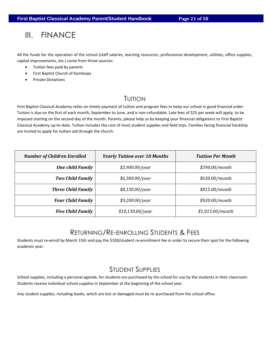# <span id="page-20-0"></span>III. FINANCE

All the funds for the operation of the school (staff salaries, learning resources, professional development, utilities, office supplies, capital improvements, etc.) come from three sources:

- Tuition fees paid by parents
- First Baptist Church of Kamloops
- Private Donations

## TUITION

<span id="page-20-1"></span>First Baptist Classical Academy relies on timely payment of tuition and program fees to keep our school in good financial order. Tuition is due on the first of each month, September to June, and is non-refundable. Late fees of \$25 per week will apply, to be imposed starting on the second day of the month. Parents, please help us by keeping your financial obligations to First Baptist Classical Academy up-to-date. Tuition includes the cost of most student supplies and field trips. Families facing financial hardship are invited to apply for tuition aid through the church.

| <b>Number of Children Enrolled</b> | <b>Yearly Tuition over 10 Months</b> | <b>Tuition Per Month</b> |
|------------------------------------|--------------------------------------|--------------------------|
| <b>One child Family</b>            | \$3,900.00/year                      | \$390.00/month           |
| <b>Two Child Family</b>            | \$6,300.00/year                      | \$630.00/month           |
| <b>Three Child Family</b>          | \$8,150.00/year                      | \$815.00/month           |
| <b>Four Child Family</b>           | \$9,200.00/year                      | \$920.00/month           |
| <b>Five Child Family</b>           | \$10,150.00/year                     | $$1,015.00/m$ onth       |

## RETURNING/RE-ENROLLING STUDENTS & FEES

<span id="page-20-2"></span>Students must re-enroll by March 15th and pay the \$100/student re-enrollment fee in order to secure their spot for the following academic year.

## STUDENT SUPPLIES

<span id="page-20-3"></span>School supplies, including a personal agenda, for students are purchased by the school for use by the students in their classroom. Students receive individual school supplies in September at the beginning of the school year.

Any student supplies, including books, which are lost or damaged must be re-purchased from the school office.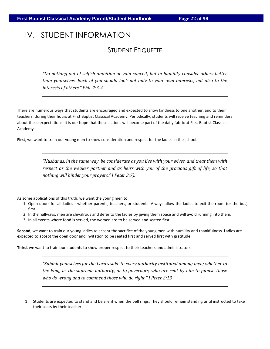# <span id="page-21-1"></span><span id="page-21-0"></span>IV. STUDENT INFORMATION

## STUDENT ETIQUETTE

*"Do nothing out of selfish ambition or vain conceit, but in humility consider others better than yourselves. Each of you should look not only to your own interests, but also to the interests of others." Phil. 2:3-4*

There are numerous ways that students are encouraged and expected to show kindness to one another, and to their teachers, during their hours at First Baptist Classical Academy. Periodically, students will receive teaching and reminders about these expectations. It is our hope that these actions will become part of the daily fabric at First Baptist Classical Academy.

**First**, we want to train our young men to show consideration and respect for the ladies in the school.

*"Husbands, in the same way, be considerate as you live with your wives, and treat them with respect as the weaker partner and as heirs with you of the gracious gift of life, so that nothing will hinder your prayers." I Peter 3:7).* 

As some applications of this truth, we want the young men to:

- 1. Open doors for all ladies whether parents, teachers, or students. Always allow the ladies to exit the room (or the bus) first.
- 2. In the hallways, men are chivalrous and defer to the ladies by giving them space and will avoid running into them.
- 3. In all events where food is served, the women are to be served and seated first.

**Second**, we want to train our young ladies to accept the sacrifice of the young men with humility and thankfulness. Ladies are expected to accept the open door and invitation to be seated first and served first with gratitude.

**Third**, we want to train our students to show proper respect to their teachers and administrators.

*"Submit yourselves for the Lord's sake to every authority instituted among men; whether to the king, as the supreme authority, or to governors, who are sent by him to punish those who do wrong and to commend those who do right." I Peter 2:13*

1. Students are expected to stand and be silent when the bell rings. They should remain standing until instructed to take their seats by their teacher.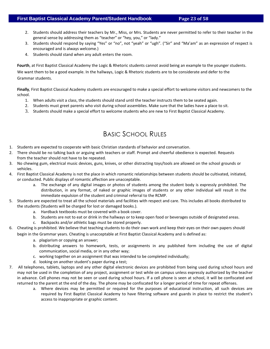- 2. Students should address their teachers by Mr., Miss, or Mrs. Students are never permitted to refer to their teacher in the general sense by addressing them as "teacher" or "hey, you," or "lady."
- 3. Students should respond by saying "Yes" or "no", not "yeah" or "ugh". ("Sir" and "Ma'am" as an expression of respect is encouraged and is always welcome.)
- 4. Students should stand when any adult enters the room.

**Fourth**, at First Baptist Classical Academy the Logic & Rhetoric students cannot avoid being an example to the younger students. We want them to be a good example. In the hallways, Logic & Rhetoric students are to be considerate and defer to the Grammar students.

**Finally**, First Baptist Classical Academy students are encouraged to make a special effort to welcome visitors and newcomers to the school.

- 1. When adults visit a class, the students should stand until the teacher instructs them to be seated again.
- 2. Students must greet parents who visit during school assemblies. Make sure that the ladies have a place to sit.
- <span id="page-22-0"></span>3. Students should make a special effort to welcome students who are new to First Baptist Classical Academy.

# BASIC SCHOOL RULES

- 1. Students are expected to cooperate with basic Christian standards of behavior and conversation.
- 2. There should be no talking back or arguing with teachers or staff. Prompt and cheerful obedience is expected. Requests from the teacher should not have to be repeated.
- 3. No chewing gum, electrical music devices, guns, knives, or other distracting toys/tools are allowed on the school grounds or vehicles.
- 4. First Baptist Classical Academy is not the place in which romantic relationships between students should be cultivated, initiated, or conducted. Public displays of romantic affection are unacceptable.
	- a. The exchange of any digital images or photos of students among the student body is expressly prohibited. The distribution, in any format, of naked or graphic images of students or any other individual will result in the immediate expulsion of the student and criminal referral to the RCMP.
- 5. Students are expected to treat all the school materials and facilities with respect and care. This includes all books distributed to the students (Students will be charged for lost or damaged books.).
	- a. Hardback textbooks must be covered with a book cover.
	- b. Students are not to eat or drink in the hallways or to keep open food or beverages outside of designated areas.
	- c. Backpacks and/or athletic bags must be stored properly.
- 6. Cheating is prohibited. We believe that teaching students to do their own work and keep their eyes on their own papers should begin in the Grammar years. Cheating is unacceptable at First Baptist Classical Academy and is defined as:
	- a. plagiarism or copying an answer;
	- b. distributing answers to homework, tests, or assignments in any published form including the use of digital communication, social media, or in any other way;
	- c. working together on an assignment that was intended to be completed individually;
	- d. looking on another student's paper during a test;
- 7. All telephones, tablets, laptops and any other digital electronic devices are prohibited from being used during school hours and may not be used in the completion of any project, assignment or test while on campus unless expressly authorized by the teacher in advance. Cell phones may not be seen or used during school hours. If a cell phone is seen at school, it will be confiscated and returned to the parent at the end of the day. The phone may be confiscated for a longer period of time for repeat offenses.
	- a. Where devices may be permitted or required for the purposes of educational instruction, all such devices are required by First Baptist Classical Academy to have filtering software and guards in place to restrict the student's access to inappropriate or graphic content.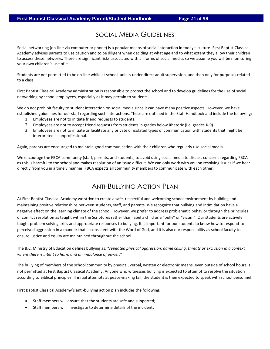## SOCIAL MEDIA GUIDELINES

<span id="page-23-0"></span>Social networking (on-line via computer or phone) is a popular means of social interaction in today's culture. First Baptist Classical Academy advises parents to use caution and to be diligent when deciding at what age and to what extent they allow their children to access these networks. There are significant risks associated with all forms of social media, so we assume you will be monitoring your own children's use of it.

Students are not permitted to be on-line while at school, unless under direct adult supervision, and then only for purposes related to a class.

First Baptist Classical Academy administration is responsible to protect the school and to develop guidelines for the use of social networking by school employees, especially as it may pertain to students.

We do not prohibit faculty to student interaction on social media since it can have many positive aspects. However, we have established guidelines for our staff regarding such interactions. These are outlined in the Staff Handbook and include the following:

- 1. Employees are not to initiate friend requests to students.
- 2. Employees are not to accept friend requests from students in grades below Rhetoric (i.e. grades K-9).
- 3. Employees are not to initiate or facilitate any private or isolated types of communication with students that might be interpreted as unprofessional.

Again, parents are encouraged to maintain good communication with their children who regularly use social media.

We encourage the FBCA community (staff, parents, and students) to avoid using social media to discuss concerns regarding FBCA as this is harmful to the school and makes resolution of an issue difficult. We can only work with you on resolving issues if we hear directly from you in a timely manner. FBCA expects all community members to communicate with each other.

## <span id="page-23-1"></span>ANTI-BULLYING ACTION PLAN

At First Baptist Classical Academy we strive to create a safe, respectful and welcoming school environment by building and maintaining positive relationships between students, staff, and parents. We recognize that bullying and intimidation have a negative effect on the learning climate of the school. However, we prefer to address problematic behavior through the principles of conflict resolution as taught within the Scriptures rather than label a child as a "bully" or "victim". Our students are actively taught problem solving skills and appropriate responses to bullying. It is important for our students to know how to respond to perceived aggression in a manner that is consistent with the Word of God, and it is also our responsibility as school faculty to ensure justice and equity are maintained throughout the school.

The B.C. Ministry of Education defines bullying as: "*repeated physical aggression, name calling, threats or exclusion in a context where there is intent to harm and an imbalance of power."*

The bullying of members of the school community by physical, verbal, written or electronic means, even outside of school hours is not permitted at First Baptist Classical Academy. Anyone who witnesses bullying is expected to attempt to resolve the situation according to Biblical principles. If initial attempts at peace-making fail, the student is then expected to speak with school personnel.

First Baptist Classical Academy's anti-bullying action plan includes the following:

- Staff members will ensure that the students are safe and supported;
- Staff members will investigate to determine details of the incident;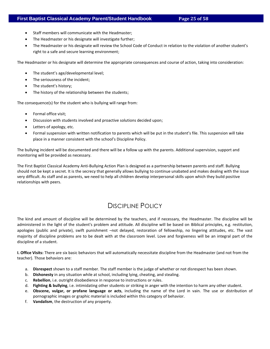## **First Baptist Classical Academy Parent/Student Handbook Page 25 of 58**

- Staff members will communicate with the Headmaster;
- The Headmaster or his designate will investigate further;
- The Headmaster or his designate will review the School Code of Conduct in relation to the violation of another student's right to a safe and secure learning environment;

The Headmaster or his designate will determine the appropriate consequences and course of action, taking into consideration:

- The student's age/developmental level;
- The seriousness of the incident;
- The student's history;
- The history of the relationship between the students;

The consequence(s) for the student who is bullying will range from:

- Formal office visit;
- Discussion with students involved and proactive solutions decided upon;
- Letters of apology, etc.
- Formal suspension with written notification to parents which will be put in the student's file. This suspension will take place in a manner consistent with the school's Discipline Policy.

The bullying incident will be documented and there will be a follow up with the parents. Additional supervision, support and monitoring will be provided as necessary.

The First Baptist Classical Academy Anti-Bullying Action Plan is designed as a partnership between parents and staff. Bullying should not be kept a secret. It is the secrecy that generally allows bullying to continue unabated and makes dealing with the issue very difficult. As staff and as parents, we need to help all children develop interpersonal skills upon which they build positive relationships with peers.

# DISCIPLINE POLICY

<span id="page-24-0"></span>The kind and amount of discipline will be determined by the teachers, and if necessary, the Headmaster. The discipline will be administered in the light of the student's problem and attitude. All discipline will be based on Biblical principles, e.g. restitution, apologies (public and private), swift punishment –not delayed, restoration of fellowship, no lingering attitudes, etc. The vast majority of discipline problems are to be dealt with at the classroom level. Love and forgiveness will be an integral part of the discipline of a student.

**I. Office Visits:** There are six basic behaviors that will automatically necessitate discipline from the Headmaster (and not from the teacher). Those behaviors are:

- a. **Disrespect** shown to a staff member. The staff member is the judge of whether or not disrespect has been shown.
- b. **Dishonesty** in any situation while at school, including lying, cheating, and stealing.
- c. **Rebellion**, i.e. outright disobedience in response to instructions or rules.
- d. **Fighting & bullying**, i.e. intimidating other students or striking in anger with the intention to harm any other student.
- e. **Obscene, vulgar, or profane language or acts**, including the name of the Lord in vain. The use or distribution of pornographic images or graphic material is included within this category of behavior.
- f. **Vandalism**, the destruction of any property.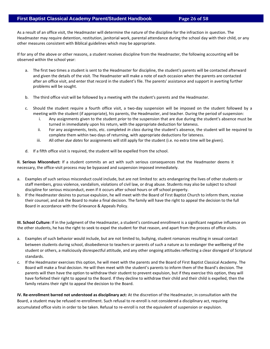As a result of an office visit, the Headmaster will determine the nature of the discipline for the infraction in question. The Headmaster may require detention, restitution, janitorial work, parental attendance during the school day with their child, or any other measures consistent with Biblical guidelines which may be appropriate.

If for any of the above or other reasons, a student receives discipline from the Headmaster, the following accounting will be observed within the school year:

- a. The first two times a student is sent to the Headmaster for discipline, the student's parents will be contacted afterward and given the details of the visit. The Headmaster will make a note of each occasion when the parents are contacted after an office visit, and enter that record in the student's file. The parents' assistance and support in averting further problems will be sought.
- b. The third office visit will be followed by a meeting with the student's parents and the Headmaster.
- c. Should the student require a fourth office visit, a two-day suspension will be imposed on the student followed by a meeting with the student (if appropriate), his parents, the Headmaster, and teacher. During the period of suspension:
	- i. Any assignments given to the student *prior* to the suspension that are due during the student's absence must be turned in immediately upon his return, with the appropriate deduction for lateness.
	- ii. For any assignments, tests, etc. completed *in class* during the student's absence, the student will be required to complete them within two days of returning, with appropriate deductions for lateness.
	- iii. All other *due dates* for assignments will still apply for the student (i.e. no extra time will be given).
- d. If a fifth office visit is required, the student will be expelled from the school.

**II. Serious Misconduct:** If a student commits an act with such serious consequences that the Headmaster deems it necessary, the office-visit process may be bypassed and suspension imposed immediately.

- a. Examples of such serious misconduct could include, but are not limited to: acts endangering the lives of other students or staff members, gross violence, vandalism, violations of civil law, or drug abuse. Students may also be subject to school discipline for serious misconduct, even if it occurs after school hours or off school property.
- b. If the Headmaster desires to pursue expulsion, he will meet with the Board of First Baptist Church to inform them, receive their counsel, and ask the Board to make a final decision. The family will have the right to appeal the decision to the full Board in accordance with the Grievance & Appeals Policy.

**III. School Culture:** If in the judgment of the Headmaster, a student's continued enrollment is a significant negative influence on the other students, he has the right to seek to expel the student for that reason, and apart from the process of office visits.

- a. Examples of such behavior would include, but are not limited to, bullying, student romances resulting in sexual contact between students during school, disobedience to teachers or parents of such a nature as to endanger the wellbeing of the student or others, a maliciously disrespectful attitude, and any other ongoing attitudes reflecting a clear disregard of Scriptural standards.
- c. If the Headmaster exercises this option, he will meet with the parents and the Board of First Baptist Classical Academy. The Board will make a final decision. He will then meet with the student's parents to inform them of the Board's decision. The parents will then have the option to withdraw their student to prevent expulsion, but if they exercise this option, they will have forfeited their right to appeal to the Board. If they decline to withdraw their child and their child is expelled, then the family retains their right to appeal the decision to the Board.

**IV. Re-enrollment barred not understood as disciplinary act:** At the discretion of the Headmaster, in consultation with the Board, a student may be refused re-enrollment. Such refusal to re-enroll is not considered a disciplinary act, requiring accumulated office visits in order to be taken. Refusal to re-enroll is not the equivalent of suspension or expulsion.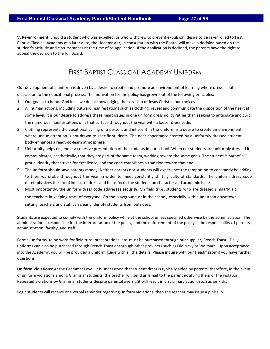**V. Re-enrollment:** Should a student who was expelled, or who withdrew to prevent expulsion, desire to be re-enrolled to First Baptist Classical Academy at a later date, the Headmaster, in consultation with the Board, will make a decision based on the student's attitude and circumstances at the time of re-application. If the application is declined, the parents have the right to appeal the decision to the full Board.

# FIRST BAPTIST CLASSICAL ACADEMY UNIFORM

<span id="page-26-0"></span>Our development of a uniform is driven by a desire to create and promote an environment of learning where dress is not a distraction to the educational process. The motivation for the policy has grown out of the following principles:

- 1. Our goal is to honor God in all we do, acknowledging the Lordship of Jesus Christ in our choices.
- 2. All human actions, including outward manifestations such as clothing, reveal and communicate the disposition of the heart at some level. It is our desire to address these heart issues in one uniform dress policy rather than seeking to anticipate and curb the numerous manifestations of it that surface throughout the year with a looser dress code.
- 3. Clothing represents the vocational calling of a person, and inherent in the uniform is a desire to create an environment where undue attention is not drawn to specific students. The neat appearance created by a uniformly dressed student body enhances a ready-to-learn atmosphere.
- 4. Uniformity helps engender a cohesive presentation of the students in our school. When our students are uniformly dressed it communicates, aesthetically, that they are part of the same team, working toward the same goals. The student is part of a group identity that strives for excellence, and the code establishes a tradition toward that end.
- 5. The uniform should save parents money. Neither parents nor students will experience the temptation to constantly be adding to their wardrobe throughout the year in order to meet constantly shifting cultural standards. The uniform dress code de-emphasizes the social impact of dress and helps focus the students on character and academic issues.
- 6. Most importantly, the uniform dress code addresses **security.** On field trips, students who are dressed similarly aid the teachers in keeping track of everyone. On the playground or in the school, especially within an urban downtown setting, teachers and staff can clearly identify students from outsiders.

Students are expected to comply with the uniform policy while at the school unless specified otherwise by the administration. The administration is responsible for the interpretation of the policy, and the enforcement of the policy is the responsibility of parents, administration, faculty, and staff.

Formal uniforms, to be worn for field trips, presentations, etc. must be purchased through our supplier, French Toast. Daily uniforms can also be purchased through French Toast or through other providers such as Old Navy or Walmart. Upon acceptance into the Academy, you will be provided a uniform guide with all the details. Please inquire with our Headmaster if you have further questions.

**Uniform Violations:** At the Grammar Level, it is understood that student dress is typically aided by parents, therefore, in the event of uniform violations among Grammar students, the teacher will send an email to the parent notifying them of the violation. Repeated violations by Grammar students despite parental oversight will result in disciplinary action, such as pink slip.

Logic students will receive one verbal reminder regarding uniform violations, then the teacher may issue a pink slip.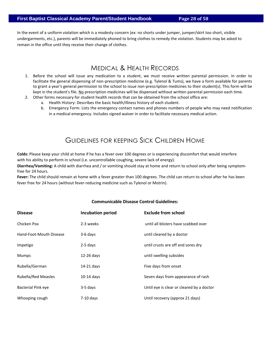In the event of a uniform violation which is a modesty concern (ex: no shorts under jumper, jumper/skirt too short, visible undergarments, etc.), parents will be immediately phoned to bring clothes to remedy the violation. Students may be asked to remain in the office until they receive their change of clothes.

# MEDICAL & HEALTH RECORDS

- <span id="page-27-0"></span>1. Before the school will issue any medication to a student, we must receive written parental permission. In order to facilitate the general dispensing of non-prescription medicine (e.g. Tylenol & Tums), we have a form available for parents to grant a year's general permission to the school to issue non-prescription medicines to their student(s). This form will be kept in the student's file. No prescription medicines will be dispensed without written parental permission each time.
- 2. Other forms necessary for student health records that can be obtained from the school office are:
	- a. Health History: Describes the basic health/illness history of each student.
	- b. Emergency Form: Lists the emergency contact names and phones numbers of people who may need notification in a medical emergency. Includes signed waiver in order to facilitate necessary medical action.

# GUIDELINES FOR KEEPING SICK CHILDREN HOME

<span id="page-27-1"></span>**Colds:** Please keep your child at home if he has a fever over 100 degrees or is experiencing discomfort that would interfere with his ability to perform in school (i.e. uncontrollable coughing, severe lack of energy).

**Diarrhea/Vomiting:** A child with diarrhea and / or vomiting should stay at home and return to school only after being symptomfree for 24 hours.

**Fever:** The child should remain at home with a fever greater than 100 degrees. The child can return to school after he has been fever free for 24 hours (without fever-reducing medicine such as Tylenol or Motrin).

| <b>Disease</b>            | <b>Incubation period</b> | Exclude from school                       |
|---------------------------|--------------------------|-------------------------------------------|
| Chicken Pox               | 2-3 weeks                | until all blisters have scabbed over      |
| Hand-Foot-Mouth Disease   | 3-6 days                 | until cleared by a doctor                 |
| Impetigo                  | 2-5 days                 | until crusts are off and sores dry        |
| <b>Mumps</b>              | $12-26$ days             | until swelling subsides                   |
| Rubella/German            | $14-21$ days             | Five days from onset                      |
| Rubella/Red Measles       | $10-14$ days             | Seven days from appearance of rash        |
| <b>Bacterial Pink eve</b> | 3-5 days                 | Until eye is clear or cleared by a doctor |
| Whooping cough            | $7-10$ days              | Until recovery (approx 21 days)           |

## **Communicable Disease Control Guidelines:**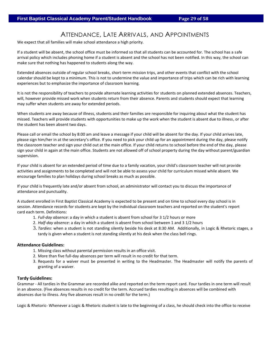# ATTENDANCE, LATE ARRIVALS, AND APPOINTMENTS

<span id="page-28-0"></span>We expect that all families will make school attendance a high priority.

If a student will be absent, the school office must be informed so that all students can be accounted for. The school has a safe arrival policy which includes phoning home if a student is absent and the school has not been notified. In this way, the school can make sure that nothing has happened to students along the way.

Extended absences outside of regular school breaks, short-term mission trips, and other events that conflict with the school calendar should be kept to a minimum. This is not to undermine the value and importance of trips which can be rich with learning experiences but to emphasize the importance of classroom learning.

It is not the responsibility of teachers to provide alternate learning activities for students on planned extended absences. Teachers, will, however provide missed work when students return from their absence. Parents and students should expect that learning may suffer when students are away for extended periods.

When students are away because of illness, students and their families are responsible for inquiring about what the student has missed. Teachers will provide students with opportunities to make up the work when the student is absent due to illness, or after the student has been absent two days.

Please call or email the school by 8:00 am and leave a message if your child will be absent for the day. If your child arrives late, please sign him/her in at the secretary's office. If you need to pick your child up for an appointment during the day, please notify the classroom teacher and sign your child out at the main office. If your child returns to school before the end of the day, please sign your child in again at the main office. Students are not allowed off of school property during the day without parent/guardian supervision.

If your child is absent for an extended period of time due to a family vacation, your child's classroom teacher will not provide activities and assignments to be completed and will not be able to assess your child for curriculum missed while absent. We encourage families to plan holidays during school breaks as much as possible.

If your child is frequently late and/or absent from school, an administrator will contact you to discuss the importance of attendance and punctuality.

A student enrolled in First Baptist Classical Academy is expected to be present and on time to school every day school is in session. Attendance records for students are kept by the individual classroom teachers and reported on the student's report card each term. Definitions:

- 1. *Full-day absence*: a day in which a student is absent from school for 3 1/2 hours or more
- 2. *Half-day absence*: a day in which a student is absent from school between 1 and 3 1/2 hours
- 3. *Tardies*: when a student is not standing silently beside his desk at 8:30 AM. Additionally, in Logic & Rhetoric stages, a tardy is given when a student is not standing silently at his desk when the class bell rings.

## **Attendance Guidelines:**

- 1. Missing class without parental permission results in an office visit.
- 2. More than five full-day absences per term will result in no credit for that term.
- 3. Requests for a waiver must be presented in writing to the Headmaster. The Headmaster will notify the parents of granting of a waiver.

#### **Tardy Guidelines:**

Grammar - All tardies in the Grammar are recorded alike and reported on the term report card. Four tardies in one term will result in an absence. (Five absences results in no credit for the term. Accrued tardies resulting in absences will be combined with absences due to illness. Any five absences result in no credit for the term.)

Logic & Rhetoric- Whenever a Logic & Rhetoric student is late to the beginning of a class, he should check into the office to receive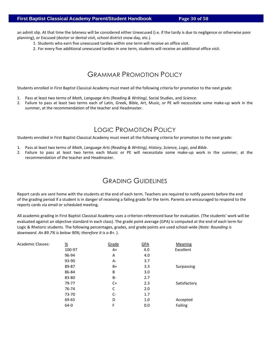an admit slip. At that time the lateness will be considered either Unexcused (i.e. if the tardy is due to negligence or otherwise poor planning), or Excused (doctor or dental visit, school district snow day, etc.).

- 1. Students who earn five unexcused tardies within one term will receive an office visit.
- 2. For every five additional unexcused tardies in one term, students will receive an additional office visit.

## GRAMMAR PROMOTION POLICY

<span id="page-29-0"></span>Students enrolled in First Baptist Classical Academy must meet all the following criteria for promotion to the next grade:

- 1. Pass at least two terms of *Math*, *Language Arts (Reading & Writing)*, Social Studies, and *Science*.
- 2. Failure to pass at least two terms each of Latin, Greek, Bible, Art, Music, or PE will necessitate some make-up work in the summer, at the recommendation of the teacher and Headmaster.

## LOGIC PROMOTION POLICY

Students enrolled in First Baptist Classical Academy must meet all the following criteria for promotion to the next grade:

- 1. Pass at least two terms of *Math*, *Language Arts (Reading & Writing), History*, *Science, Logic, and Bible*.
- 2. Failure to pass at least two terms each Music or PE will necessitate some make-up work in the summer, at the recommendation of the teacher and Headmaster.

# GRADING GUIDELINES

<span id="page-29-1"></span>Report cards are sent home with the students at the end of each term. Teachers are required to notify parents before the end of the grading period if a student is in danger of receiving a failing grade for the term. Parents are encouraged to respond to the reports cards via email or scheduled meeting.

All academic grading in First Baptist Classical Academy uses a criterion-referenced base for evaluation. (The students' work will be evaluated against an objective standard in each class). The grade point average (GPA) is computed at the end of each term for Logic & Rhetoric students. The following percentages, grades, and grade points are used school-wide (*Note: Rounding is downward. An 89.7% is below 90%; therefore it is a B+.* ).

| Meaning      |
|--------------|
| Excellent    |
|              |
|              |
| Surpassing   |
|              |
|              |
| Satisfactory |
|              |
|              |
| Accepted     |
|              |
| Failing      |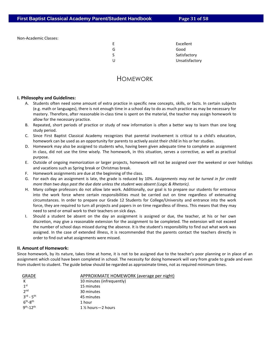Non-Academic Classes:

| F | Excellent      |
|---|----------------|
| G | Good           |
| S | Satisfactory   |
| U | Unsatisfactory |
|   |                |

## HOMEWORK

#### <span id="page-30-0"></span>**I. Philosophy and Guidelines:**

- A. Students often need some amount of extra practice in specific new concepts, skills, or facts. In certain subjects (e.g. math or languages), there is not enough time in a school day to do as much practice as may be necessary for mastery. Therefore, after reasonable in-class time is spent on the material, the teacher may assign homework to allow for the necessary practice.
- B. Repeated, short periods of practice or study of new information is often a better way to learn than one long study period.
- C. Since First Baptist Classical Academy recognizes that parental involvement is critical to a child's education, homework can be used as an opportunity for parents to actively assist their child in his or her studies.
- D. Homework may also be assigned to students who, having been given adequate time to complete an assignment in class, did not use the time wisely. The homework, in this situation, serves a corrective, as well as practical purpose.
- E. Outside of ongoing memorization or larger projects, homework will not be assigned over the weekend or over holidays and vacations such as Spring break or Christmas break.
- F. Homework assignments are due at the beginning of the class.
- G. For each day an assignment is late, the grade is reduced by 10%. *Assignments may not be turned in for credit more than two days past the due date unless the student was absent (Logic & Rhetoric).*
- H. Many college professors do not allow late work. Additionally, our goal is to prepare our students for entrance into the work force where certain responsibilities must be carried out on time regardless of extenuating circumstances. In order to prepare our Grade 12 Students for College/University and entrance into the work force, they are required to turn all projects and papers in on time regardless of illness. This means that they may need to send or email work to their teachers on sick days.
- I. Should a student be absent on the day an assignment is assigned or due, the teacher, at his or her own discretion, may give a reasonable extension for the assignment to be completed. The extension will not exceed the number of school days missed during the absence. It is the student's responsibility to find out what work was assigned. In the case of extended illness, it is recommended that the parents contact the teachers directly in order to find out what assignments were missed.

#### **II. Amount of Homework:**

Since homework, by its nature, takes time at home, it is not to be assigned due to the teacher's poor planning or in place of an assignment which could have been completed in school. The necessity for doing homework will vary from grade to grade and even from student to student. The guide below should be regarded as approximate times, not as required minimum times.

| <b>GRADE</b>                      | APPROXIMATE HOMEWORK (average per night) |
|-----------------------------------|------------------------------------------|
| K                                 | 10 minutes (infrequently)                |
| 1 <sup>st</sup>                   | 15 minutes                               |
| 2 <sub>nd</sub>                   | 30 minutes                               |
| $3^{\text{rd}}$ - $5^{\text{th}}$ | 45 minutes                               |
| $6th-8th$                         | 1 hour                                   |
| $q^{th}$ -12 <sup>th</sup>        | 1 $\frac{1}{2}$ hours – 2 hours          |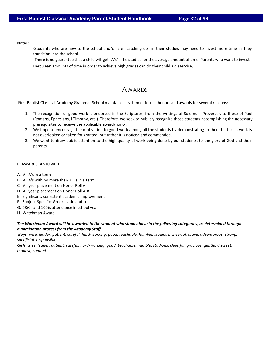#### Notes:

-Students who are new to the school and/or are "catching up" in their studies may need to invest more time as they transition into the school.

-There is no guarantee that a child will get "A's" if he studies for the average amount of time. Parents who want to invest Herculean amounts of time in order to achieve high grades can do their child a disservice.

## AWARDS

<span id="page-31-0"></span>First Baptist Classical Academy Grammar School maintains a system of formal honors and awards for several reasons:

- 1. The recognition of good work is endorsed in the Scriptures, from the writings of Solomon (Proverbs), to those of Paul (Romans, Ephesians, I Timothy, etc.). Therefore, we seek to publicly recognize those students accomplishing the necessary prerequisites to receive the applicable award/honor.
- 2. We hope to encourage the motivation to good work among all the students by demonstrating to them that such work is not overlooked or taken for granted, but rather it is noticed and commended.
- 3. We want to draw public attention to the high quality of work being done by our students, to the glory of God and their parents.

#### II. AWARDS BESTOWED

- A. All A's in a term
- B. All A's with no more than 2 B's in a term
- C. All year placement on Honor Roll A
- D. All year placement on Honor Roll A-B
- E. Significant, consistent academic improvement
- F. Subject-Specific: Greek, Latin and Logic
- G. 98%+ and 100% attendance in school year
- H. Watchman Award

## *The Watchman Award will be awarded to the student who stood above in the following categories, as determined through a nomination process from the Academy Staff.*

*Boys: wise, leader, patient, careful, hard-working, good, teachable, humble, studious, cheerful, brave, adventurous, strong, sacrificial, responsible.*

*Girls: wise, leader, patient, careful, hard-working, good, teachable, humble, studious, cheerful, gracious, gentle, discreet, modest, content.*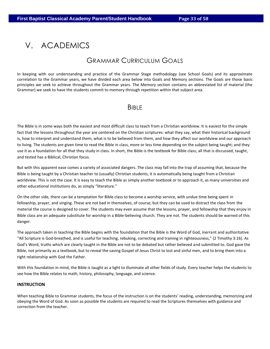# <span id="page-32-1"></span><span id="page-32-0"></span>V. ACADEMICS

## GRAMMAR CURRICULUM GOALS

In keeping with our understanding and practice of the Grammar Stage methodology (see School Goals) and its approximate correlation to the Grammar years, we have divided each area below into Goals and Memory sections. The Goals are those basic principles we seek to achieve throughout the Grammar years. The Memory section contains an abbreviated list of material (the Grammar) we seek to have the students commit to memory through repetition within that subject area.

## BIBLE

<span id="page-32-2"></span>The Bible is in some ways both the easiest and most difficult class to teach from a Christian worldview. It is easiest for the simple fact that the lessons throughout the year are centered on the Christian scriptures: what they say, what their historical background is, how to interpret and understand them, what is to be believed from them, and how they affect our worldview and our approach to living. The students are given time to read the Bible in class, more or less time depending on the subject being taught; and they use it as a foundation for all that they study in class. In short, the Bible is the textbook for Bible class; all that is discussed, taught, and tested has a Biblical, Christian focus.

But with this apparent ease comes a variety of associated dangers. The class may fall into the trap of assuming that, because the Bible is being taught by a Christian teacher to (usually) Christian students, it is automatically being taught from a Christian worldview. This is not the case. It is easy to teach the Bible as simply another textbook or to approach it, as many universities and other educational institutions do, as simply "literature."

On the other side, there can be a temptation for Bible class to become a worship service, with undue time being spent in fellowship, prayer, and singing. These are not bad in themselves, of course, but they can be used to distract the class from the material the course is designed to cover. The students may even assume that the lessons, prayer, and fellowship that they enjoy in Bible class are an adequate substitute for worship in a Bible-believing church. They are not. The students should be warned of this danger.

The approach taken in teaching the Bible begins with the foundation that the Bible is the Word of God, inerrant and authoritative. "All Scripture is God-breathed, and is useful for teaching, rebuking, correcting and training in righteousness," (2 Timothy 3:16). As God's Word, truths which are clearly taught in the Bible are not to be debated but rather believed and submitted to. God gave the Bible, not primarily as a textbook, but to reveal the saving Gospel of Jesus Christ to lost and sinful men, and to bring them into a right relationship with God the Father.

With this foundation in mind, the Bible is taught as a light to illuminate all other fields of study. Every teacher helps the students to see how the Bible relates to math, history, philosophy, language, and science.

## **INSTRUCTION**

When teaching Bible to Grammar students, the focus of the instruction is on the students' reading, understanding, memorizing and obeying the Word of God. As soon as possible the students are required to read the Scriptures themselves with guidance and correction from the teacher.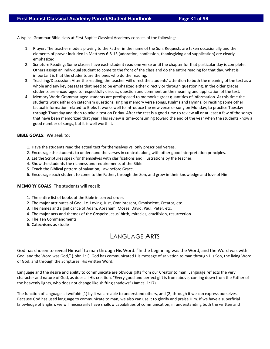A typical Grammar Bible class at First Baptist Classical Academy consists of the following:

- 1. Prayer: The teacher models praying to the Father in the name of the Son. Requests are taken occasionally and the elements of prayer included in Matthew 6:8-13 (adoration, confession, thanksgiving and supplication) are clearly emphasized.
- 2. Scripture Reading: Some classes have each student read one verse until the chapter for that particular day is complete. Others assign an individual student to come to the front of the class and do the entire reading for that day. What is important is that the students are the ones who do the reading.
- 3. Teaching/Discussion: After the reading, the teacher will direct the students' attention to both the meaning of the text as a whole and any key passages that need to be emphasized either directly or through questioning. In the older grades students are encouraged to respectfully discuss, question and comment on the meaning and application of the text.
- 4. Memory Work: Grammar-aged students are predisposed to memorize great quantities of information. At this time the students work either on catechism questions, singing memory verse songs, Psalms and Hymns, or reciting some other factual information related to Bible. It works well to introduce the new verse or song on Monday, to practice Tuesday through Thursday and then to take a test on Friday. After the test is a good time to review all or at least a few of the songs that have been memorized that year. This review is time-consuming toward the end of the year when the students know a good number of songs, but it is well worth it.

#### **BIBLE GOALS**:We seek to:

- 1. Have the students read the actual text for themselves vs. only prescribed verses.
- 2. Encourage the students to understand the verses in context, along with other good interpretation principles.
- 3. Let the Scriptures speak for themselves with clarifications and illustrations by the teacher.
- 4. Show the students the richness and requirements of the Bible.
- 5. Teach the Biblical pattern of salvation; Law before Grace.
- 6. Encourage each student to come to the Father, through the Son, and grow in their knowledge and love of Him.

## **MEMORY GOALS**: The students will recall:

- 1. The entire list of books of the Bible in correct order.
- 2. The major attributes of God, i.e. Loving, Just, Omnipresent, Omniscient, Creator, etc.
- 3. The names and significance of Adam, Abraham, Moses, David, Paul, Peter, etc.
- 4. The major acts and themes of the Gospels: Jesus' birth, miracles, crucifixion, resurrection.
- 5. The Ten Commandments
- <span id="page-33-0"></span>6. Catechisms as studie

# LANGUAGE ARTS

God has chosen to reveal Himself to man through His Word. "In the beginning was the Word, and the Word was with God, and the Word was God," (John 1:1). God has communicated His message of salvation to man through His Son, the living Word of God, and through the Scriptures, His written Word.

Language and the desire and ability to communicate are obvious gifts from our Creator to man. Language reflects the very character and nature of God, as does all His creation. "Every good and perfect gift is from above, coming down from the Father of the heavenly lights, who does not change like shifting shadows" (James. 1:17).

The function of language is twofold: (1) by it we are able to understand others, and (2) through it we can express ourselves. Because God has used language to communicate to man, we also can use it to glorify and praise Him. If we have a superficial knowledge of English, we will necessarily have shallow capabilities of communication, in understanding both the written and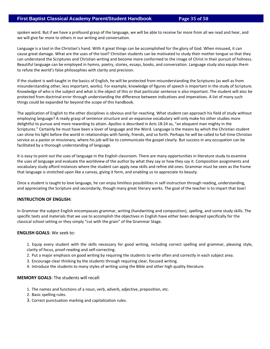spoken word. But if we have a profound grasp of the language, we will be able to receive far more from all we read and hear, and we will give far more to others in our writing and conversation.

Language is a tool in the Christian's hand. With it great things can be accomplished for the glory of God. When misused, it can cause great damage. What are the uses of the tool? Christian students can be motivated to study their mother tongue so that they can understand the Scriptures and Christian writing and become more conformed to the image of Christ in their pursuit of holiness. Beautiful language can be employed in hymns, poetry, stories, essays, books, and conversation. Language study also equips them to refute the world's false philosophies with clarity and precision.

If the student is well-taught in the basics of English, he will be protected from misunderstanding the Scriptures (as well as from misunderstanding other, less important, works). For example, knowledge of figures of speech is important in the study of Scripture. Knowledge of who is the subject and what is the object of this or that particular sentence is also important. The student will also be protected from doctrinal error through understanding the difference between indicatives and imperatives. A list of many such things could be expanded far beyond the scope of this handbook.

The application of English to the other disciplines is obvious and far-reaching. What student can approach his field of study without employing language? A ready grasp of sentence structure and an expansive vocabulary will only make his other studies more delightful to pursue and more rewarding to attain. Apollos is described in Acts 18:24 as, "an eloquent man mighty in the Scriptures." Certainly he must have been a lover of language and the Word. Language is the means by which the Christian student can shine his light before the world in relationships with family, friends, and so forth. Perhaps he will be called to full-time Christian service as a pastor or missionary, where his job will be to communicate the gospel clearly. But success in any occupation can be facilitated by a thorough understanding of language.

It is easy to point out the uses of language in the English classroom. There are many opportunities in literature study to examine the uses of language and evaluate the worldview of the author by what they say or how they say it. Composition assignments and vocabulary study afford instances where the student can apply new skills and refine old ones. Grammar must be seen as the frame that language is stretched upon like a canvas, giving it form, and enabling us to appreciate its beauty.

Once a student is taught to love language, he can enjoy limitless possibilities in self-instruction through reading, understanding, and appreciating the Scripture and secondarily, though many great literary works. The goal of the teacher is to impart that love!

## **INSTRUCTION OF ENGLISH:**

In Grammar the subject English encompasses grammar, writing (handwriting and composition), spelling, and some study skills. The specific texts and materials that we use to accomplish the objectives in English have either been designed specifically for the classical school setting or they simply "cut with the grain" of the Grammar Stage.

## **ENGLISH GOALS**: We seek to:

1. Equip every student with the skills necessary for good writing, including correct spelling and grammar, pleasing style, clarity of focus, proof-reading and self-correcting.

- 2. Put a major emphasis on good writing by requiring the students to write often and correctly in each subject area.
- 3. Encourage clear thinking by the students through requiring clear, focused writing.
- 4. Introduce the students to many styles of writing using the Bible and other high quality literature.

#### **MEMORY GOALS**: The students will recall:

- 1. The names and functions of a noun, verb, adverb, adjective, preposition, etc.
- 2. Basic spelling rules.
- 3. Correct punctuation marking and capitalization rules.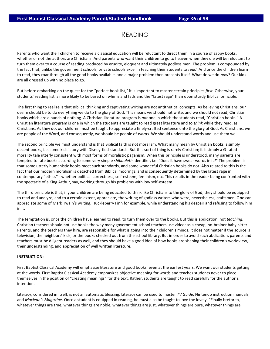## READING

<span id="page-35-0"></span>Parents who want their children to receive a classical education will be reluctant to direct them in a course of sappy books, whether or not the authors are Christians. And parents who want their children to go to heaven when they die will be reluctant to turn them over to a course of reading produced by erudite, eloquent and ultimately godless men. The problem is compounded by the fact that, unlike the government schools, private schools excel in teaching their students to *read*. And once the children learn to read, they roar through all the good books available, and a major problem then presents itself. What do we do *now*? Our kids are all dressed up with no place to go.

But before embarking on the quest for the "perfect book list," it is important to master certain principles *first*. Otherwise, your students' reading list is more likely to be based on whims and fads and the "latest rage" than upon sturdy Biblical principle.

The first thing to realize is that Biblical thinking and captivating writing are not antithetical concepts. As believing Christians, our desire should be to do everything we do to the glory of God. This means we should not write, and we should not read, Christian books which are a bunch of nothing. A Christian literature program is *not* one in which the students read, "Christian books." A Christian literature program is one in which the students are taught to read great literature and to *think* while they read, as Christians. As they do, our children must be taught to appreciate a finely-crafted sentence unto the glory of God. As Christians, we are people of the Word, and consequently, we should be people of *words*. We should understand words and use them well.

The second principle we must understand is that Biblical faith is not moralism. What many mean by Christian books is simply decent books, i.e. some kids' story with Disney-fied standards. But this sort of thing is rarely Christian; it is simply a G-rated morality tale utterly consistent with most forms of moralistic paganism. When this principle is understood, many parents are tempted to rate books according to some very simple *shibboleth* identifier, i.e. "Does it have swear words in it?" The problem is that some utterly humanistic books meet such standards, and some wonderful Christian books do not. Also related to this is the fact that our modern moralism is detached from Biblical moorings, and is consequently determined by the latest rage in contemporary "ethics" - whether political correctness, self-esteem, feminism, etc. This results in the reader being confronted with the spectacle of a King Arthur, say, working through his problems with low self-esteem.

The third principle is that, if your children are being educated to think like Christians to the glory of God, they should be equipped to read and analyze, and to a certain extent, appreciate, the writing of godless writers who were, nevertheless, craftsmen. One can appreciate some of Mark Twain's writing, Huckleberry Finn for example, while understanding his despair and refusing to follow him in it.

The temptation is, once the children have learned to read, to turn them over to the books. But this is abdication, not *teaching*. Christian teachers should not use books the way many government school teachers use video: as a cheap, no-brainer baby-sitter. Parents, and the teachers they hire, are responsible for what is going into their children's minds. It does not matter if the source is television, the neighbors' kids, or the books checked out from the school library. But in order to avoid such abdication, parents and teachers must be diligent readers as well, and they should have a good idea of how books are shaping their children's worldview, their understanding, and appreciation of well written literature.

#### **INSTRUCTION:**

First Baptist Classical Academy will emphasize literature and good books, even at the earliest years. We want our students getting at the words. First Baptist Classical Academy emphasizes objective meaning for words and teaches students never to place themselves in the position of "creating meanings" for the text. Rather, students are taught to read carefully for the author's intention.

Literacy, considered in itself, is not an automatic blessing. Literacy can be used to master *TV Guide*, Nintendo instruction manuals, and *Maclean's Magazine*. Once a student is equipped in reading, he must also be taught to love the lovely. "Finally brethren, whatever things are true, whatever things are noble, whatever things are just, whatever things are pure, whatever things are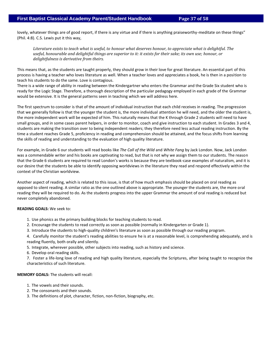lovely, whatever things are of good report, if there is any virtue and if there is anything praiseworthy-meditate on these things" (Phil. 4:8). C.S. Lewis put it this way,

*Literature exists to teach what is useful, to honour what deserves honour, to appreciate what is delightful. The useful, honourable and delightful things are superior to it: it exists for their sake; its own use; honour, or delightfulness is derivative from theirs.*

This means that, as the students are taught properly, they should grow in their love for great literature. An essential part of this process is having a teacher who loves literature as well. When a teacher loves and appreciates a book, he is then in a position to teach his students to do the same. Love is contagious.

There is a wide range of ability in reading between the Kindergartner who enters the Grammar and the Grade Six student who is ready for the Logic Stage. Therefore, a thorough description of the particular pedagogy employed in each grade of the Grammar would be extensive. It is the general patterns seen in teaching which we will address here.

The first spectrum to consider is that of the amount of individual instruction that each child receives in reading. The progression that we generally follow is that the younger the student is, the more individual attention he will need, and the older the student is, the more independent work will be expected of him. This naturally means that the K through Grade 2 students will need to have small groups, and in some cases parent helpers, in order to monitor, coach and give instruction to each student. In Grades 3 and 4, students are making the transition over to being independent readers; they therefore need less actual reading instruction. By the time a student reaches Grade 5, proficiency in reading and comprehension should be attained, and the focus shifts from learning the skills of reading and understanding to the evaluation of high quality literature.

For example, in Grade 6 our students will read books like *The Call of the Wild* and *White Fang* by Jack London. Now, Jack London was a commendable writer and his books are captivating to read, but that is not why we assign them to our students. The reason that the Grade 6 students are required to read London's works is because they are textbook-case examples of naturalism, and it is our desire that the students be able to identify opposing worldviews in the literature they read and respond effectively within the context of the Christian worldview.

Another aspect of reading, which is related to this issue, is that of how much emphasis should be placed on oral reading as opposed to silent reading. A similar ratio as the one outlined above is appropriate. The younger the students are, the more oral reading they will be required to do. As the students progress into the upper Grammar the amount of oral reading is reduced but never completely abandoned.

## **READING GOALS:** We seek to:

- 1. Use phonics as the primary building blocks for teaching students to read.
- 2. Encourage the students to read correctly as soon as possible (normally in Kindergarten or Grade 1).
- 3. Introduce the students to high-quality children's literature as soon as possible through our reading program.
- 4. Carefully monitor the student's reading abilities to ensure he is at a reasonable level, is comprehending adequately, and is reading fluently, both orally and silently.
- 5. Integrate, wherever possible, other subjects into reading, such as history and science.
- 6. Develop oral reading skills.

7. Foster a life-long love of reading and high quality literature, especially the Scriptures, after being taught to recognize the characteristics of such literature.

#### **MEMORY GOALS:** The students will recall:

- 1. The vowels and their sounds.
- 2. The consonants and their sounds.
- 3. The definitions of plot, character, fiction, non-fiction, biography, etc.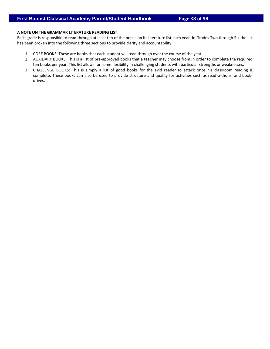#### **A NOTE ON THE GRAMMAR LITERATURE READING LIST**:

Each grade is responsible to read through at least ten of the books on its literature list each year. In Grades Two through Six the list has been broken into the following three sections to provide clarity and accountability:

- 1. CORE BOOKS: These are books that each student will read through over the course of the year.
- 2. AUXILIARY BOOKS: This is a list of pre-approved books that a teacher may choose from in order to complete the required ten books per year. This list allows for some flexibility in challenging students with particular strengths or weaknesses.
- 3. CHALLENGE BOOKS: This is simply a list of good books for the avid reader to attack once his classroom reading is complete. These books can also be used to provide structure and quality for activities such as read-a-thons, and bookdrives.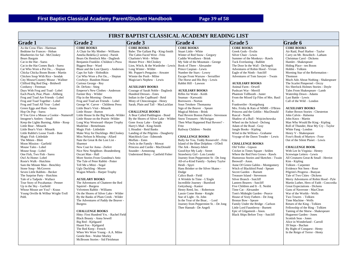| FIRST BAPTIST CLASSICAL ACADEMY READING LIST |                                          |                                       |                                         |                                       |                                          |
|----------------------------------------------|------------------------------------------|---------------------------------------|-----------------------------------------|---------------------------------------|------------------------------------------|
| <b>Grade 1</b>                               | <b>Grade 2</b>                           | <b>Grade 3</b>                        | <b>Grade 4</b>                          | <b>Grade 5</b>                        | Grade 6                                  |
| As the Crow Flies - Hartman                  | <b>CORE BOOKS</b>                        | <b>CORE BOOKS</b>                     | <b>CORE BOOKS</b>                       | <b>CORE BOOKS</b>                     | <b>CORE BOOKS</b>                        |
| Bedtime for Frances - Hoban                  | A Chair for My Mother - Williams         | Babe: The Gallant Pig - King-Smith    | Stuart Little - White                   | Greek Gods - Evslin                   | Air Raid, Pearl Harbor - Taylor          |
| Blueberries for Sal - McCloskey              | Amelia Bedelia (2 series) - Parish       | The Cabin Faced West - Fritz          | Winter of Red Snow - Gregory            | Silver Chair - Lewis                  | Carry on Mr. Bowditch - Latham           |
| Bears Bargain                                | Bears On Hemlock Mtn - Dagliesh          | Charlotte's Web - White               | Caddie Woodlawn - Brink                 | Summer of the Monkeys - Rawls         | Christmas Carol - Dickens                |
| Cat in the Hat - Suess                       | Benjamin Franklin -Children's Press      | Homer Price - McCloskey               | My Side of the Mountain - George        | Tuck Everlasting - Babbitt            | Hamlet - Shakespeare                     |
| Cat in the Hat Comes Back - Suess            | Biggest Bear - Ward                      | Lion, Witch, & the Wardrobe - Lewis   | Book of Three - Alexander               | The Door In the Wall - DeAngeli       | Hiding Place - ten Boom                  |
| Cat Who Wore a Pot On - Slopian              | Blaze and the Lost Quarry - Anderson     | Long Winter - Wilder                  | Prince Caspian - Lewis                  | Adventures of Robin Hood - Vivian     | Hobbit - Tolkien                         |
| Chicka Chicka Boom Boom - Martin             | Caps for Sale - Slobodkin                | Mr. Popper's Penguins - Atwater       | Number the Stars - Lowry                | Eagle of the Ninth - Sutcliff         | Morning Star of the Reformation -        |
| Chicken Soup With Rice - Sendak              | Cat Who Wore a Pot On - Slepian          | Winnie the Pooh - Milne               | Escape From Warsaw - Serraillier        | Adventures of Tom Sawyer - Twain      | Thomson                                  |
| City Mouse/Country Mouse - Wallner           | Cowboys - Random House                   | Magician's Nephew - Lewis             | The Horse and His Boy - Lewis           |                                       | Much Ado About Nothing - Shakespeare     |
| Clifford Big Red Dog - Bridwell              | Curious George - Rey                     |                                       | Rabbit Hill - Lawson                    | <b>AUXILIARY BOOKS</b>                | The Scarlet Pimpernel - Orczy            |
| Corduroy - Freeman                           | Dr. DeSoto - Stieg                       | <b>AUXILIARY BOOKS</b>                |                                         | Animal Farm - Orwell                  | Six Sherlock Holmes Stories - Doyle      |
| Days With Frog and Toad - Lobel              | Emperor's New Clothes - Anderson         | Courage of Sarah Noble - Dagliesh     | <b>AUXILIARY BOOKS</b>                  | Pushcart War - Merrill                | Tales From Shakespeare - Lamb            |
| Each Peach, Pear, Plum - Ahlberg             | Farmer Boy - Wilder                      | Hundred Dresses - Estes               | Rifles for Watie - Keith                | Phantom Tollbooth - Juster            | Watership Down - Adams                   |
| Frog and Toad Are Friends - Lobel            | Flip in the Morning - Dennis             | Indian in the CupBoard - Reid         | Seaman - Karwaski                       | From the Mixed Up Files of Mrs. Basil | Last Battle - Lewis                      |
| Frog and Toad Together - Lobel               | Frog and Toad are Friends - Lobel        | Misty of Chincoteague - Henry         | Borrowers - Norton                      | Е.                                    | Call of the Wild - London                |
| Frog and Toad All Year - Lobel               | George W. Carver - Childrens Press       | Sarah, Plain and Tall - MacLacklan    | Soun Tetoken-Thomasma                   | Frankweiler - Konigsburg              |                                          |
| Green Eggs and Ham - Suess                   | Little Bear's Visit - Minarik            |                                       | Sign of the Beaver - Speare             | Mrs. Frisby & Rats of NIMH - O'Brien  | <b>AUXILIARY BOOKS</b>                   |
| Hop On Pop - Suess                           | Little House - Burton                    | <b>CHALLENGE BOOKS</b>                | Magical Melons - Brink                  | Princess and the Goblin - MacDonald   | Father Brown Stories - Chesterton        |
| If You Give a Mouse a Cookie - Numeroff      | Little House In the Big Woods -Wilder    | A Bear Called Paddington - Bond       | Paul Revere Boston Patriot - Stevenson  | Rascal - North                        | John Calvin - Halsema                    |
| Imogene's Antlers - Small                    | Little House on the Prairie - Wilder     | By the Shores of Silver Lake - Wilder | Snow Treasures - McSwigan               | Shadow of a Bull - Wojciechowska      | John Knox - Martin                       |
| Keep the Lights Burning, Abbie - Roop        | Long Way Westward -Harper Trophy         | Gone Away Lake - Enright              | Then What Happened Paul Revere? -       | Wheel on the School - DeJong          | Man Who Would Be King - Kipling          |
| Little Bear - Minarik                        | Madeline - Bemelmans                     | Harry's Mad - King-Smith              | Fritz                                   | Adam of the Road - Gray               | Roll of Thunder, Hear My Cry - Taylor    |
| Little Bear's Visit - Minarik                | Magic Fish - Littledale                  | I, Houdini - Reid Banks               | Railway Children - Nesbit               | Jungle Books - Kipling                | White Fang - London                      |
| Little Rabbit's Loose Tooth - Bate           | Make Way for Ducklings -McCloskey        | Landing of the Pilgrims - Daugherty   |                                         | Wind in the Willows - Grahame         | Henry V - Shakespeare                    |
| Magic Fish -Littledale                       | Miss Nelson Is Missing - Allard          | Matchlock Gun - Edmonds               | <b>CHALLENGE BOOKS</b>                  | Voyage of the Dawn Treader - Lewis    | Foxe's Book of Martyrs - Foxe            |
| The Mitten - Blett                           | Nate the Great & the Lost List -         | Moffats - Estes                       | Bully for You, Teddy Roosevelt! - Fritz |                                       | Out of the Silent Planet - Lewis         |
| Moon Mission - Garfield                      | Sharmot                                  | Owls in the Family - Mowat            | Island of the Blue Dolphins - O'Dell    | <b>CHALLENGE BOOKS</b>                |                                          |
| Mouse Tales - Lobel                          | New Coat for Anna - Ziefert              | Princess and Curdie - MacDonald       | The Ark - Benary-Isbert                 | Old Yeller - Gipson                   | <b>CHALLENGE BOOK</b>                    |
| Mouse Soup - Lobel                           | Nice New Neighbors -Brandenberg          | Sounder - Armstrong                   | Good-bye My Lady - Street               | Cricket in Times Square - Selden      | With Lee In Virginia - Hentry            |
| One Fish. Two Fish - Suess                   | Oxcart Man - Hall                        | Understood Betsy - Canfield Fisher    | Strawberry Girl - Lois Lenski           | Where the Red Fern Grows - Rawls      | Screwtape Letters - Lewis                |
| Owl At Home-Lobel                            | More Stories From Grandma's Attic        |                                       | Journey from Peppermint St - De Jong    | Humorous Stories and Sketches - Twain | All Creatures Great & Small - Herriot    |
| Rosie's Walk - Hutchins                      | The Tale of Peter Rabbit - Potter        |                                       | All-of-a-Kind Family - Sydney Taylor    | Beowulf - Anon.                       | Kim - Kipling                            |
| Sam the Minute Man - Benchley                | Tell Me a Mitzi - Segal                  |                                       | Heidi - Spyri                           | Anne Of Green Gables - Montgomery     | Tolkien - Carpenter                      |
| Stone Soup - McGovern                        | <b>Ugly Duckling - Moore</b>             |                                       | Hans Brinker or the Silver Skates -     | Witch of Blackbird Pond - Speare      | Evidence Not Seen - Rose                 |
| Seven Little Rabbits - Becker                | Wagon Wheels - Harper Trophy             |                                       | Dodge                                   | Secret Garden - Burnett               | Pilgrim's Progress - Bunyan              |
| The Surprise Party - Hutchins                |                                          |                                       | Calico Bush - Field                     | Treasure Island - Stevenson           | Tale of Two Cities - Dickens             |
| Tale of a Tadpole - Wallace                  | <b>AUXILARY BOOKS</b>                    |                                       | A Wrinkle In Time - L'Engle             | Silver Branch - Sutcliff              | Merry Adventures of Robin Hood - Pyle    |
| True Story of Pocahantas - Penner            | The Adventures of Chatterer the Red      |                                       | Incredible Journey - Burnford           | Lantern Bearers - Sutcliff            | Martin Luther, Hero of Faith - Concordia |
| Up in the Sky - Garfield                     | Squirrel - Burgess                       |                                       | Gettysburg - Kantor                     | Five Children and It - E. Nesbit      | <b>Great Expectations - Dickens</b>      |
| Whose Mouse are You? - Kraus                 | Velveteen Rabbit - Williams              |                                       | Henry Reed, Inc. - Robertson            | Time Cat - Alexander                  | Guns of Naverone - MacClean              |
| Young Orville & Wilbur Wright-Troll          | On the Shores of Silver Lake - Wilder    |                                       | Lassie Come Home - Knight               | Tom's Midnight Garden - Pearce        | War of the Worlds - Wells                |
| Publ.                                        | By the Banks of Plum Creek - Wilder      |                                       | Star of Light - St. John                | House of Sixty Fathers - De Jong      | Two Towers - Tolkien                     |
|                                              | The Adventures of Paddy the Beaver -     |                                       | In the Year of the Boar - Lord          | <b>Bronze Bow - Speare</b>            | Time Machine - Wells                     |
|                                              |                                          |                                       | Journey from Peppermint St. - De Jong   |                                       | Return of the King - Tolkien             |
|                                              | <b>Burgess</b>                           |                                       |                                         | Family Under the Bridge - Carlson     |                                          |
|                                              | <b>CHALLENGE BOOKS</b>                   |                                       | Thee Hannah - De Angeli                 | Little Lord Fauntleroy - Burnett      | Fellowship of the Ring - Tolkien         |
|                                              |                                          |                                       |                                         | Epic of Gilgamesh - Anon.             | Taming of the Shrew - Shakespeare        |
|                                              | Hitty: First Hundred Yrs. - Rachel Field |                                       |                                         | Black Ships Before Troy - Sutcliff    | Huguenot Garden - Jones                  |
|                                              | Black Beauty - Anna Sewell               |                                       |                                         |                                       | Scottish Seas - Jones                    |
|                                              | Big Red - Kjelgaard                      |                                       |                                         |                                       | Alice in Wonderland - Carroll            |
|                                              | Haunt Fox - Kjelgarrd                    |                                       |                                         |                                       | 39 Steps - Buchan                        |
|                                              | The Red Keep - French                    |                                       |                                         |                                       | By Right of Conquest - Henty             |
|                                              | When We Were Young - A.A. Milne          |                                       |                                         |                                       | In the Reign of Terror - Henty           |
|                                              | Gentle Ben - Walter Morley               |                                       |                                         |                                       |                                          |
|                                              | McBroom Stories - Sid Fleishman          |                                       |                                         |                                       |                                          |
|                                              |                                          |                                       |                                         |                                       |                                          |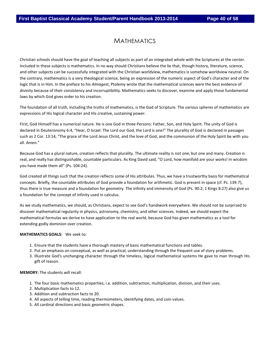## MATHEMATICS

<span id="page-39-0"></span>Christian schools should have the goal of teaching all subjects as part of an integrated whole with the Scriptures at the center. Included in these subjects is mathematics. In no way should Christians believe the lie that, though history, literature, science, and other subjects can be successfully integrated with the Christian worldview, mathematics is somehow worldview neutral. On the contrary, mathematics is a very theological science, being an expression of the numeric aspect of God's character and of the logic that is in Him. In the preface to his *Almagest*, Ptolemy wrote that the mathematical sciences were the best evidence of divinity because of their consistency and incorruptibility. Mathematics seeks to discover, examine and apply those fundamental laws by which God gives order to his creation.

The foundation of all truth, including the truths of mathematics, is the God of Scripture. The various spheres of mathematics are expressions of His logical character and His creative, sustaining power.

First, God Himself has a numerical nature. He is one God in three Persons: Father, Son, and Holy Spirit. The unity of God is declared in Deuteronomy 6:4, "Hear, O Israel: The Lord our God, the Lord is one!" The plurality of God is declared in passages such as 2 Cor. 13:14, "The grace of the Lord Jesus Christ, and the love of God, and the communion of the Holy Spirit be with you all. Amen."

Because God has a plural nature, creation reflects that plurality. The ultimate reality is not one, but one and many. Creation is real, and really has distinguishable, countable particulars. As King David said, "O Lord, how manifold are your works! In wisdom you have made them all" (Ps. 104:24).

God created all things such that the creation reflects some of His attributes. Thus, we have a trustworthy basis for mathematical concepts. Briefly, the countable attributes of God provide a foundation for arithmetic. God is present in space (cf. Ps. 139:7), thus there is true measure and a foundation for geometry. The infinity and immensity of God (Ps. 90:2; 1 Kings 8:27) also give us a foundation for the concept of infinity used in calculus.

As we study mathematics, we should, as Christians, expect to see God's handiwork everywhere. We should not be surprised to discover mathematical regularity in physics, astronomy, chemistry, and other sciences. Indeed, we should expect the mathematical formulas we derive to have application to the real world, because God has given mathematics as a tool for extending godly dominion over creation.

#### **MATHEMATICS GOALS:** We seek to:

- 1. Ensure that the students have a thorough mastery of basic mathematical functions and tables.
- 2. Put an emphasis on conceptual, as well as practical, understanding through the frequent use of story problems.
- 3. Illustrate God's unchanging character through the timeless, logical mathematical systems He gave to man through His gift of reason.

## **MEMORY:** The students will recall:

- 1. The four basic mathematics properties; i.e. addition, subtraction, multiplication, division, and their uses.
- 2. Multiplication facts to 12.
- 3. Addition and subtraction facts to 20.
- 4. All aspects of telling time, reading thermometers, identifying dates, and coin values.
- 5. All cardinal directions and basic geometric shapes.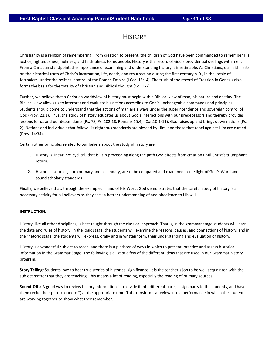## **HISTORY**

<span id="page-40-0"></span>Christianity is a religion of remembering. From creation to present, the children of God have been commanded to remember His justice, righteousness, holiness, and faithfulness to his people. History is the record of God's providential dealings with men. From a Christian standpoint, the importance of examining and understanding history is inestimable. As Christians, our faith rests on the historical truth of Christ's incarnation, life, death, and resurrection during the first century A.D., in the locale of Jerusalem, under the political control of the Roman Empire (I Cor. 15:14). The truth of the record of Creation in Genesis also forms the basis for the totality of Christian and Biblical thought (Col. 1-2).

Further, we believe that a Christian worldview of history must begin with a Biblical view of man, his nature and destiny. The Biblical view allows us to interpret and evaluate his actions according to God's unchangeable commands and principles. Students should come to understand that the actions of man are always under the superintendence and sovereign control of God (Prov. 21:1). Thus, the study of history educates us about God's interactions with our predecessors and thereby provides lessons for us and our descendants (Ps. 78, Ps. 102:18, Romans 15:4, I Cor.10:1-11). God raises up and brings down nations (Ps. 2). Nations and individuals that follow His righteous standards are blessed by Him, and those that rebel against Him are cursed (Prov. 14:34).

Certain other principles related to our beliefs about the study of history are:

- 1. History is linear, not cyclical; that is, it is proceeding along the path God directs from creation until Christ's triumphant return.
- 2. Historical sources, both primary and secondary, are to be compared and examined in the light of God's Word and sound scholarly standards.

Finally, we believe that, through the examples in and of His Word, God demonstrates that the careful study of history is a necessary activity for all believers as they seek a better understanding of and obedience to His will.

#### **INSTRUCTION:**

History, like all other disciplines, is best taught through the classical approach. That is, in the grammar stage students will learn the data and rules of history; in the logic stage, the students will examine the reasons, causes, and connections of history; and in the rhetoric stage, the students will express, orally and in written form, their understanding and evaluation of history.

History is a wonderful subject to teach, and there is a plethora of ways in which to present, practice and assess historical information in the Grammar Stage. The following is a list of a few of the different ideas that are used in our Grammar history program.

**Story Telling:** Students love to hear true stories of historical significance. It is the teacher's job to be well acquainted with the subject matter that they are teaching. This means a lot of reading, especially the reading of primary sources.

**Sound-Offs:** A good way to review history information is to divide it into different parts, assign parts to the students, and have them recite their parts (sound-off) at the appropriate time. This transforms a review into a performance in which the students are working together to show what they remember.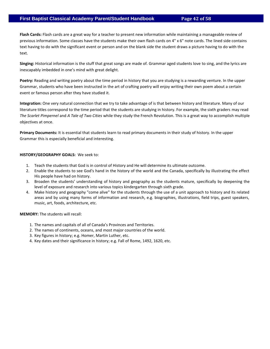**Flash Cards:** Flash cards are a great way for a teacher to present new information while maintaining a manageable review of previous information. Some classes have the students make their own flash cards on 4" x 6" note cards. The lined side contains text having to do with the significant event or person and on the blank side the student draws a picture having to do with the text.

**Singing:** Historical information is the stuff that great songs are made of. Grammar aged students love to sing, and the lyrics are inescapably imbedded in one's mind with great delight.

**Poetry:** Reading and writing poetry about the time period in history that you are studying is a rewarding venture. In the upper Grammar, students who have been instructed in the art of crafting poetry will enjoy writing their own poem about a certain event or famous person after they have studied it.

**Integration:** One very natural connection that we try to take advantage of is that between history and literature. Many of our literature titles correspond to the time period that the students are studying in history. For example, the sixth graders may read *The Scarlet Pimpernel* and *A Tale of Two Cities* while they study the French Revolution. This is a great way to accomplish multiple objectives at once.

**Primary Documents:** It is essential that students learn to read primary documents in their study of history. In the upper Grammar this is especially beneficial and interesting.

#### **HISTORY/GEOGRAPHY GOALS:** We seek to:

- 1. Teach the students that God is in control of History and He will determine its ultimate outcome.
- 2. Enable the students to see God's hand in the history of the world and the Canada, specifically by illustrating the effect His people have had on history.
- 3. Broaden the students' understanding of history and geography as the students mature, specifically by deepening the level of exposure and research into various topics kindergarten through sixth grade.
- 4. Make history and geography "come alive" for the students through the use of a unit approach to history and its related areas and by using many forms of information and research, e.g. biographies, illustrations, field trips, guest speakers, music, art, foods, architecture, etc.

**MEMORY:** The students will recall:

- 1. The names and capitals of all of Canada's Provinces and Territories.
- 2. The names of continents, oceans, and most major countries of the world.
- 3. Key figures in history; e.g. Homer, Martin Luther, etc.
- 4. Key dates and their significance in history; e.g. Fall of Rome, 1492, 1620, etc.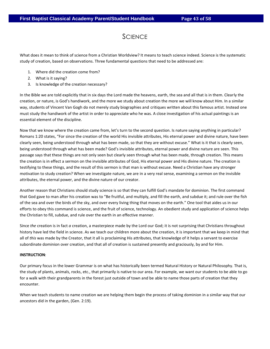## **SCIENCE**

<span id="page-42-0"></span>What does it mean to think of science from a Christian Worldview? It means to teach science indeed. Science is the systematic study of creation, based on observations. Three fundamental questions that need to be addressed are:

- 1. Where did the creation come from?
- 2. What is it saying?
- 3. Is knowledge of the creation necessary?

In the Bible we are told explicitly that in six days the Lord made the heavens, earth, the sea and all that is in them. Clearly the creation, or nature, is God's handiwork, and the more we study about creation the more we will know about Him. In a similar way, students of Vincent Van Gogh do not merely study biographies and critiques written about this famous artist. Instead one must study the handiwork of the artist in order to appreciate who he was. A close investigation of his actual paintings is an essential element of the discipline.

Now that we know where the creation came from, let's turn to the second question. Is nature saying anything in particular? Romans 1:20 states, "For since the creation of the world His invisible attributes, His eternal power and divine nature, have been clearly seen, being understood through what has been made, so that they are without excuse." What is it that is clearly seen, being understood through what has been made? God's invisible attributes, eternal power and divine nature are seen. This passage says that these things are not only seen but clearly seen through what has been made, through creation. This means the creation is in effect a sermon on the invisible attributes of God, His eternal power and His divine nature. The creation is testifying to these things, and the result of this sermon is that man is without excuse. Need a Christian have any stronger motivation to study creation? When we investigate nature, we are in a very real sense, examining a sermon on the invisible attributes, the eternal power, and the divine nature of our creator.

Another reason that Christians should study science is so that they can fulfill God's mandate for dominion. The first command that God gave to man after his creation was to "Be fruitful, and multiply, and fill the earth, and subdue it; and rule over the fish of the sea and over the birds of the sky, and over every living thing that moves on the earth." One tool that aides us in our efforts to obey this command is science, and the fruit of science, technology. An obedient study and application of science helps the Christian to fill, subdue, and rule over the earth in an effective manner.

Since *the* creation is in fact *a* creation, a masterpiece made by the Lord our God; it is not surprising that Christians throughout history have led the field in science. As we teach our children more about the creation, it is important that we keep in mind that all of *this* was made by the Creator, that it all is proclaiming His attributes, that knowledge of it helps a servant to exercise subordinate dominion over creation, and that all of creation is sustained presently and graciously, by and for Him.

#### **INSTRUCTION**:

Our primary focus in the lower Grammar is on what has historically been termed Natural History or Natural Philosophy. That is, the study of plants, animals, rocks, etc., that primarily is native to our area. For example, we want our students to be able to go for a walk with their grandparents in the forest just outside of town and be able to name those parts of creation that they encounter.

When we teach students to name creation we are helping them begin the process of taking dominion in a similar way that our ancestors did in the garden, (Gen. 2:19).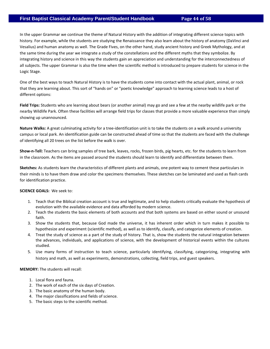## **First Baptist Classical Academy Parent/Student Handbook Page 44 of 58**

In the upper Grammar we continue the theme of Natural History with the addition of integrating different science topics with history. For example, while the students are studying the Renaissance they also learn about the history of anatomy (DaVinci and Vesalius) and human anatomy as well. The Grade Fives, on the other hand, study ancient history and Greek Mythology, and at the same time during the year we integrate a study of the constellations and the different myths that they symbolize. By integrating history and science in this way the students gain an appreciation and understanding for the interconnectedness of all subjects. The upper Grammar is also the time when the scientific method is introduced to prepare students for science in the Logic Stage.

One of the best ways to teach Natural History is to have the students come into contact with the actual plant, animal, or rock that they are learning about. This sort of "hands on" or "poetic knowledge" approach to learning science leads to a host of different options:

**Field Trips:** Students who are learning about bears (or another animal) may go and see a few at the nearby wildlife park or the nearby Wildlife Park. Often these facilities will arrange field trips for classes that provide a more valuable experience than simply showing up unannounced.

**Nature Walks:** A great culminating activity for a tree-identification unit is to take the students on a walk around a university campus or local park. An identification guide can be constructed ahead of time so that the students are faced with the challenge of identifying all 20 trees on the list before the walk is over.

**Show-n-Tell:** Teachers can bring samples of tree bark, leaves, rocks, frozen birds, pig hearts, etc. for the students to learn from in the classroom. As the items are passed around the students should learn to identify and differentiate between them.

**Sketches:** As students learn the characteristics of different plants and animals, one potent way to cement these particulars in their minds is to have them draw and color the specimens themselves. These sketches can be laminated and used as flash cards for identification practice.

## **SCIENCE GOALS:**We seek to:

- 1. Teach that the Biblical creation account is true and legitimate, and to help students critically evaluate the hypothesis of evolution with the available evidence and data afforded by modern science.
- 2. Teach the students the basic elements of both accounts and that both systems are based on either sound or unsound faith.
- 3. Show the students that, because God made the universe, it has inherent order which in turn makes it possible to hypothesize and experiment (scientific method), as well as to identify, classify, and categorize elements of creation.
- 4. Treat the study of science as a part of the study of history. That is, show the students the natural integration between the advances, individuals, and applications of science, with the development of historical events within the cultures studied.
- 5. Use many forms of instruction to teach science, particularly identifying, classifying, categorizing, integrating with history and math, as well as experiments, demonstrations, collecting, field trips, and guest speakers.

## **MEMORY:** The students will recall:

- 1. Local flora and fauna.
- 2. The work of each of the six days of Creation.
- 3. The basic anatomy of the human body.
- 4. The major classifications and fields of science.
- 5. The basic steps to the scientific method.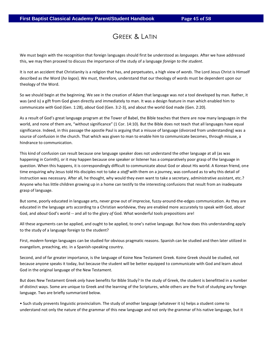## GREEK & LATIN

<span id="page-44-0"></span>We must begin with the recognition that foreign languages should first be understood as *languages*. After we have addressed this, we may then proceed to discuss the importance of the study of a language *foreign to the student*.

It is not an accident that Christianity is a religion that has, and perpetuates, a high view of *words*. The Lord Jesus Christ is Himself described as *the* Word (*ho logos*). We must, therefore, understand that our theology of words must be dependent upon our theology of the Word.

So we should begin at the beginning. We see in the creation of Adam that language was *not* a tool developed by man. Rather, it was (and is) a gift from God given directly and immediately to man. It was a design feature in man which enabled him to communicate *with* God (Gen. 1:28), *about* God (Gen. 3:2-3), and about the world God made (Gen. 2:20).

As a result of God's great language program at the Tower of Babel, the Bible teaches that there are now many languages in the world, and none of them are, "without significance" (1 Cor. 14:10). But the Bible does not teach that all languages have equal significance. Indeed, in this passage the apostle Paul is arguing that a misuse of language (divorced from understanding) was a source of confusion in the church. That which was given to man to enable him to communicate becomes, through misuse, a hindrance to communication.

This kind of confusion can result because one language speaker does not understand the other language at all (as was happening in Corinth), or it may happen because one speaker or listener has a comparatively poor grasp of the language in question. When this happens, it is correspondingly difficult to communicate about God or about His world. A Korean friend, one time enquiring why Jesus told His disciples not to take a *staff* with them on a journey, was confused as to why this detail of instruction was necessary. After all, he thought, why would they even want to take a secretary, administrative assistant, etc.? Anyone who has little children growing up in a home can testify to the interesting confusions that result from an inadequate grasp of language.

But some, poorly educated in language arts, never grow out of imprecise, fuzzy-around-the-edges communication. As they are educated in the language arts according to a Christian worldview, they are enabled more accurately to speak *with* God, *about* God, and *about* God's world -- and all to the glory *of* God. What wonderful tools prepositions are!

All these arguments can be applied, and ought to be applied, to one's native language. But how does this understanding apply to the study of a language foreign to the student?

First, *modern* foreign languages can be studied for obvious pragmatic reasons. Spanish can be studied and then later utilized in evangelism, preaching, etc. in a Spanish-speaking country.

Second, and of far greater importance, is the language of Koine New Testament Greek. Koine Greek should be studied, not because anyone speaks it today, but because the student will be better equipped to communicate with God and learn about God in the original language of the New Testament.

But does New Testament Greek *only* have benefits for Bible Study? In the study of Greek, the student is benefitted in a number of distinct ways. Some are unique to Greek and the learning of the Scriptures, while others are the fruit of studying any foreign language. Two are briefly summarized below.

• Such study prevents linguistic provincialism. The study of another language (whatever it is) helps a student come to understand not only the nature of the grammar of this new language and not only the grammar of his native language, but it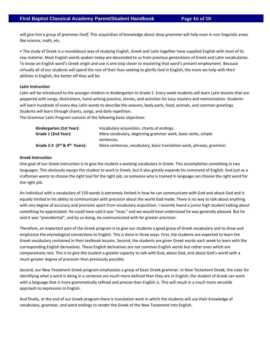will give him a grasp of *grammar itself*. This acquisition of knowledge about *deep grammar* will help even in non-linguistic areas like science, math, etc.

• The study of Greek is a roundabout way of studying English. Greek and Latin together have supplied English with *most* of its raw material. Most English words spoken today are descended to us from previous generations of Greek and Latin vocabularies. To know an English word's Greek origin and use is one step closer to mastering that word's present employment. Because virtually all of our students will spend the rest of their lives seeking to glorify God in English, the more we help with their abilities in English, the better off they will be.

#### **Latin Instruction**

Latin will be introduced to the younger children in Kindergarten to Grade 2. Every week students will learn Latin lessons that are peppered with songs, illustrations, hand-writing practice, stories, and activities for easy mastery and memorization. Students will learn hundreds of every-day Latin words to describe the seasons, body parts, food, animals, and common greetings. Students will learn through chants, songs, and daily repetition.

The Grammar Latin Program consists of the following basic objectives:

| Kindergarten (1st Year):               | Vocabulary acquisition, chants of endings.                            |
|----------------------------------------|-----------------------------------------------------------------------|
| Grade 1 (2nd Year):                    | More vocabulary, beginning grammar work, basic verbs, simple          |
|                                        | sentences.                                                            |
| Grade 2-3 $(3^{rd}$ & $4^{th}$ Years): | More sentences, vocabulary, basic translation work, phrases, grammar. |

#### **Greek Instruction**

One goal of our Greek instruction is to give the student a working vocabulary in Greek. This accomplishes something in two languages. This obviously equips the student to work in Greek, but it also greatly expands his command of English. And just as a craftsman wants to choose the right tool for the right job, so someone who is trained in language can choose the right word for the right job.

An individual with a vocabulary of 150 words is extremely limited in how he can communicate with God and about God and is equally limited in his ability to communicate with precision about the world God made. There is no way to talk about anything with any degree of accuracy and precision apart from vocabulary acquisition. I recently heard a junior high student talking about something he appreciated. He could have said it was "neat," and we would have understood he was generally pleased. But he said it was "providential", and by so doing, he communicated with far greater precision.

Therefore, an important part of the Greek program is to give our students a good grasp of Greek vocabulary and to show and emphasize the etymological connections to English. This is done in three ways. First, the students are expected to learn the Greek vocabulary contained in their textbook lessons. Second, the students are given Greek words each week to learn with the corresponding English derivatives. These English derivatives are not common English words but rather ones which are comparatively rare. This is to give the student a greater capacity to talk with God, about God, and about God's world with a much greater degree of precision than previously possible.

Second, our New Testament Greek program emphasizes a grasp of basic Greek grammar. In New Testament Greek, the rules for identifying what a word is doing in a sentence are much more defined than they are in English; the student of Greek can work with a language that is more grammatically refined and precise than English is. This will result in a much more versatile approach to expression in English.

And finally, at the end of our Greek program there is translation work in which the students will use their knowledge of vocabulary, grammar, and word endings to render the Greek of the New Testament into English.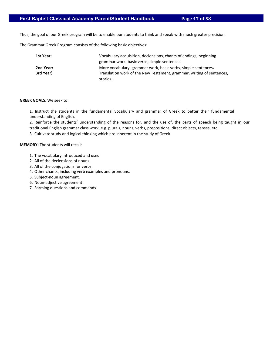Thus, the goal of our Greek program will be to enable our students to think and speak with much greater precision.

The Grammar Greek Program consists of the following basic objectives:

| 1st Year: | Vocabulary acquisition, declensions, chants of endings, beginning     |
|-----------|-----------------------------------------------------------------------|
|           | grammar work, basic verbs, simple sentences.                          |
| 2nd Year: | More vocabulary, grammar work, basic verbs, simple sentences.         |
| 3rd Year) | Translation work of the New Testament, grammar, writing of sentences, |
|           | stories.                                                              |

#### **GREEK GOALS***:* We seek to:

1. Instruct the students in the fundamental vocabulary and grammar of Greek to better their fundamental understanding of English.

2. Reinforce the students' understanding of the reasons for, and the use of, the parts of speech being taught in our traditional English grammar class work, e.g. plurals, nouns, verbs, prepositions, direct objects, tenses, etc.

3. Cultivate study and logical thinking which are inherent in the study of Greek.

**MEMORY:** The students will recall:

- 1. The vocabulary introduced and used.
- 2. All of the declensions of nouns.
- 3. All of the conjugations for verbs.
- 4. Other chants, including verb examples and pronouns.
- 5. Subject-noun agreement.
- 6. Noun-adjective agreement
- 7. Forming questions and commands.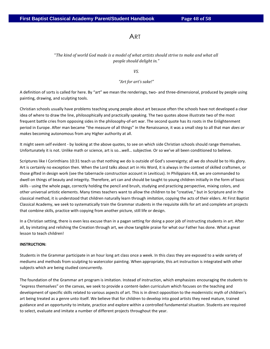## ART

## <span id="page-47-0"></span>"*The kind of world God made is a model of what artists should strive to make and what all people should delight in."*

*VS.*

*"Art for art's sake!"*

A definition of sorts is called for here. By "art" we mean the renderings, two- and three-dimensional, produced by people using painting, drawing, and sculpting tools.

Christian schools usually have problems teaching young people about art because often the schools have not developed a clear idea of where to draw the line, philosophically and practically speaking. The two quotes above illustrate two of the most frequent battle cries from opposing sides in the philosophy-of-art war. The second quote has its roots in the Enlightenment period in Europe. After man became "the measure of all things" in the Renaissance, it was a small step to all that man *does or makes* becoming autonomous from any Higher authority at all.

It might seem self evident - by looking at the above quotes, to see on which side Christian schools should range themselves. Unfortunately it is not. Unlike math or science, art is so...well… subjective. Or so we've all been conditioned to believe.

Scriptures like I Corinthians 10:31 teach us that nothing we do is outside of God's sovereignty; all we do should be to His glory. Art is certainly no exception then. When the Lord talks about art in His Word, it is always in the context of skilled craftsmen, or those gifted in design work (see the tabernacle construction account in Leviticus). In Philippians 4:8, we are commanded to dwell on things of beauty and integrity. Therefore, art can and should be taught to young children initially in the form of basic skills - using the whole page, correctly holding the pencil and brush, studying and practicing perspective, mixing colors, and other universal artistic elements. Many times teachers want to allow the children to be "creative," but in Scripture and in the classical method, it is understood that children naturally learn through *imitation*, copying the acts of their elders. At First Baptist Classical Academy, we seek to systematically train the Grammar students in the requisite skills for art and complete art projects that combine skills, practice with copying from another picture, still life or design.

In a Christian setting, there is even less excuse than in a pagan setting for doing a poor job of instructing students in art. After all, by imitating and relishing the Creation through art, we show tangible praise for what our Father has done. What a great lesson to teach children!

## **INSTRUCTION:**

Students in the Grammar participate in an hour long art class once a week. In this class they are exposed to a wide variety of mediums and methods from sculpting to watercolor painting. When appropriate, this art instruction is integrated with other subjects which are being studied concurrently.

The foundation of the Grammar art program is imitation. Instead of instruction, which emphasizes encouraging the students to "express themselves" on the canvas, we seek to provide a content-laden curriculum which focuses on the teaching and development of specific skills related to various aspects of art. This is in direct opposition to the modernistic myth of children's art being treated as a genre unto itself. We believe that for children to develop into good artists they need mature, trained guidance and an opportunity to imitate, practice and explore within a controlled fundamental situation. Students are required to select, evaluate and imitate a number of different projects throughout the year.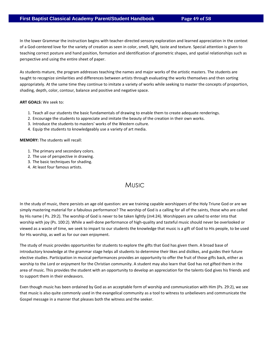In the lower Grammar the instruction begins with teacher-directed sensory exploration and learned appreciation in the context of a God-centered love for the variety of creation as seen in color, smell, light, taste and texture. Special attention is given to teaching correct posture and hand position, formation and identification of geometric shapes, and spatial relationships such as perspective and using the entire sheet of paper.

As students mature, the program addresses teaching the names and major works of the artistic masters. The students are taught to recognize similarities and differences between artists through evaluating the works themselves and then sorting appropriately. At the same time they continue to imitate a variety of works while seeking to master the concepts of proportion, shading, depth, color, contour, balance and positive and negative space.

#### **ART GOALS:** We seek to:

- 1. Teach all our students the basic fundamentals of drawing to enable them to create adequate renderings.
- 2. Encourage the students to appreciate and imitate the beauty of the creation in their own works.
- 3. Introduce the students to masters' works of the Western culture.
- 4. Equip the students to knowledgeably use a variety of art media.

#### **MEMORY:** The students will recall:

- 1. The primary and secondary colors.
- 2. The use of perspective in drawing.
- 3. The basic techniques for shading.
- <span id="page-48-0"></span>4. At least four famous artists.

## **MUSIC**

In the study of music, there persists an age old question: are we training capable worshippers of the Holy Triune God or are we simply mastering material for a fabulous performance? The worship of God is a calling for all of the saints, those who are called by His name ( Ps. 29:2). The worship of God is never to be taken lightly (Jn4:24). Worshippers are called to enter into that worship with joy (Ps. 100:2). While a well-done performance of high-quality and tasteful music should never be overlooked or viewed as a waste of time, we seek to impart to our students the knowledge that music is a gift of God to His people, to be used for His worship, as well as for our own enjoyment.

The study of music provides opportunities for students to explore the gifts that God has given them. A broad base of introductory knowledge at the grammar stage helps all students to determine their likes and dislikes, and guides their future elective studies. Participation in musical performances provides an opportunity to offer the fruit of those gifts back, either as worship to the Lord or enjoyment for the Christian community. A student may also learn that God has not gifted them in the area of music. This provides the student with an opportunity to develop an appreciation for the talents God gives his friends and to support them in their endeavors.

Even though music has been ordained by God as an acceptable form of worship and communication with Him (Ps. 29:2), we see that music is also quite commonly used in the evangelical community as a tool to witness to unbelievers and communicate the Gospel message in a manner that pleases both the witness and the seeker.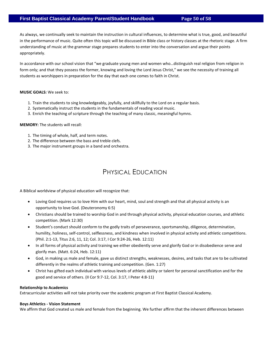## **First Baptist Classical Academy Parent/Student Handbook Page 50 of 58**

As always, we continually seek to maintain the instruction in cultural influences, to determine what is true, good, and beautiful in the performance of music. Quite often this topic will be discussed in Bible class or history classes at the rhetoric stage. A firm understanding of music at the grammar stage prepares students to enter into the conversation and argue their points appropriately.

In accordance with our school vision that "we graduate young men and women who…distinguish real religion from religion in form only; and that they possess the former, knowing and loving the Lord Jesus Christ," we see the necessity of training all students as worshippers in preparation for the day that each one comes to faith in Christ.

#### **MUSIC GOALS:** We seek to:

- 1. Train the students to sing knowledgeably, joyfully, and skillfully to the Lord on a regular basis.
- 2. Systematically instruct the students in the fundamentals of reading vocal music.
- 3. Enrich the teaching of scripture through the teaching of many classic, meaningful hymns.

#### **MEMORY:** The students will recall:

- 1. The timing of whole, half, and term notes.
- 2. The difference between the bass and treble clefs.
- <span id="page-49-0"></span>3. The major instrument groups in a band and orchestra.

# PHYSICAL EDUCATION

A Biblical worldview of physical education will recognize that:

- Loving God requires us to love Him with our heart, mind, soul and strength and that all physical activity is an opportunity to love God. (Deuteronomy 6:5)
- Christians should be trained to worship God in and through physical activity, physical education courses, and athletic competition. (Mark 12:30)
- Student's conduct should conform to the godly traits of perseverance, sportsmanship, diligence, determination, humility, holiness, self-control, selflessness, and kindness when involved in physical activity and athletic competitions. (Phil. 2:1-13, Titus 2:6, 11, 12; Col. 3:17, I Cor 9:24-26, Heb. 12:11)
- In all forms of physical activity and training we either obediently serve and glorify God or in disobedience serve and glorify man. (Matt. 6:24, Heb. 12:11)
- God, in making us male and female, gave us distinct strengths, weaknesses, desires, and tasks that are to be cultivated differently in the realms of athletic training and competition. (Gen. 1:27)
- Christ has gifted each individual with various levels of athletic ability or talent for personal sanctification and for the good and service of others. (II Cor 9:7-12, Col. 3:17, I Peter 4:8-11)

#### **Relationship to Academics**

Extracurricular activities will not take priority over the academic program at First Baptist Classical Academy.

#### **Boys Athletics - Vision Statement**

We affirm that God created us male and female from the beginning. We further affirm that the inherent differences between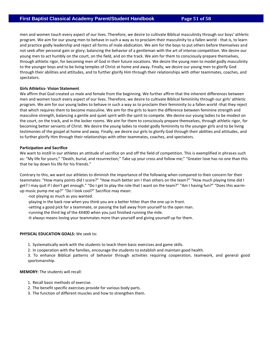men and women touch every aspect of our lives. Therefore, we desire to cultivate Biblical masculinity through our boys' athletic program. We aim for our young men to behave in such a way as to proclaim their masculinity to a fallen world - that is, to learn and practice godly leadership and reject all forms of male abdication. We aim for the boys to put others before themselves and not seek after personal gain or glory; balancing the behavior of a gentleman with the art of intense competition. We desire our young men to act humbly on the court, on the field, and on the track. We aim for them to consciously prepare themselves, through athletic rigor, for becoming men of God in their future vocations. We desire the young men to model godly masculinity to the younger boys and to be living temples of Christ at home and away. Finally, we desire our young men to glorify God through their abilities and attitudes, and to further glorify Him through their relationships with other teammates, coaches, and spectators.

#### **Girls Athletics- Vision Statement**

We affirm that God created us male and female from the beginning. We further affirm that the inherent differences between men and women touch every aspect of our lives. Therefore, we desire to cultivate Biblical femininity through our girls' athletic program. We aim for our young ladies to behave in such a way as to proclaim their femininity to a fallen world -that they reject that which requires them to become masculine. We aim for the girls to learn the difference between feminine strength and masculine strength, balancing a gentle and quiet spirit with the spirit to compete. We desire our young ladies to be modest on the court, on the track, and in the locker rooms. We aim for them to consciously prepare themselves, through athletic rigor, for becoming better servants of Christ. We desire the young ladies to model godly femininity to the younger girls and to be living testimonies of the gospel at home and away. Finally, we desire our girls to glorify God through their abilities and attitudes, and to further glorify Him through their relationships with other teammates, coaches, and spectators.

#### **Participation and Sacrifice**

We want to instill in our athletes an attitude of sacrifice on and off the field of competition. This is exemplified in phrases such as: "My life for yours;" "Death, burial, and resurrection;" Take up your cross and follow me;" "Greater love has no one than this that he lay down his life for his friends."

Contrary to this, we want our athletes to diminish the importance of the following when compared to their concern for their teammates: "How many points did I score?" "How much better am I than others on the team?" "How much playing time did I get? I may quit if I don't get enough." "Do I get to play the role that I want on the team?" "Am I having fun?" "Does this warmup music pump me up?" "Do I look cool?" Sacrifice may mean:

-not playing as much as you wanted.

-playing in the back row when you think you are a better hitter than the one up in front.

-setting a good pick for a teammate, or passing the ball away from yourself to the open man.

-running the third leg of the 4X400 when you just finished running the mile.

-It always means loving your teammates more than yourself and giving yourself up for them.

#### **PHYSICAL EDUCATION GOALS:** We seek to:

1. Systematically work with the students to teach them basic exercises and game skills.

2. In cooperation with the families, encourage the students to establish and maintain good health.

3. To enhance Biblical patterns of behavior through activities requiring cooperation, teamwork, and general good sportsmanship.

#### **MEMORY:** The students will recall:

- 1. Recall basic methods of exercise.
- 2. The benefit specific exercises provide for various body parts.
- 3. The function of different muscles and how to strengthen them.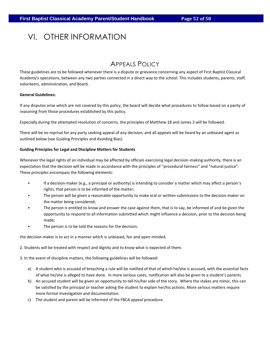# <span id="page-51-0"></span>VI. OTHER INFORMATION

# APPEALS POLICY

<span id="page-51-1"></span>These guidelines are to be followed whenever there is a dispute or grievance concerning any aspect of First Baptist Classical Academy's operations, between any two parties connected in a direct way to the school. This includes students, parents, staff, volunteers, administration, and Board.

## **General Guidelines:**

If any disputes arise which are not covered by this policy, the board will decide what procedures to follow based on a parity of reasoning from those procedures established by this policy.

Especially during the attempted resolution of concerns, the principles of Matthew 18 and James 3 will be followed.

There will be no reprisal for any party seeking appeal of any decision, and all appeals will be heard by an unbiased agent as outlined below (see Guiding Principles and Avoiding Bias).

#### **Guiding Principles for Legal and Discipline Matters for Students**

Whenever the legal rights of an individual may be affected by officials exercising legal decision-making authority, there is an expectation that the decision will be made in accordance with the principles of "procedural fairness" and "natural justice". These principles encompass the following elements:

- If a decision-maker (e.g., a principal or authority) is intending to consider a matter which may affect a person's rights, that person is to be informed of the matter;
- The person will be given a reasonable opportunity to make oral or written submissions to the decision-maker on the matter being considered;
- The person is entitled to know and answer the case against them, that is to say, be informed of and be given the opportunity to respond to all information submitted which might influence a decision, prior to the decision being made;
- The person is to be told the reasons for the decision;

the decision-maker is to act in a manner which is unbiased, fair and open-minded.

2. Students will be treated with respect and dignity and to know what is expected of them.

3. In the event of discipline matters, the following guidelines will be followed:

- a) A student who is accused of breaching a rule will be notified of that of which he/she is accused, with the essential facts of what he/she is alleged to have done. In more serious cases, notification will also be given to a student 's parents.
- b) An accused student will be given an opportunity to tell his/her side of the story. Where the stakes are minor, this can be satisfied by the principal or teacher asking the student to explain her/his actions. More serious matters require more formal investigation and documentation.
- c) The student and parent will be informed of the FBCA appeal procedure.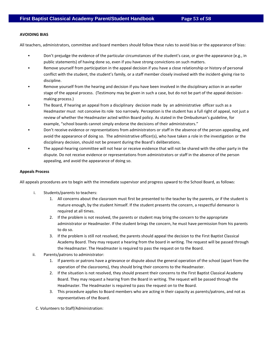## **AVOIDING BIAS**

All teachers, administrators, committee and board members should follow these rules to avoid bias or the appearance of bias:

- Don't prejudge the evidence of the particular circumstances of the student's case, or give the appearance (e.g., in public statements) of having done so, even if you have strong convictions on such matters.
- Remove yourself from participation in the appeal decision if you have a close relationship or history of personal conflict with the student, the student's family, or a staff member closely involved with the incident-giving rise to discipline.
- Remove yourself from the hearing and decision if you have been involved in the disciplinary action in an earlier stage of the appeal process. (Testimony may be given in such a case, but do not be part of the appeal decisionmaking process.)
- The Board, if hearing an appeal from a disciplinary decision made by an administrative officer such as a Headmaster must not conceive its role too narrowly. Perception is the student has a full right of appeal, not just a review of whether the Headmaster acted within Board policy. As stated in the Ombudsman's guideline, for example, "school boards cannot simply endorse the decisions of their administrators."
- Don't receive evidence or representations from administrators or staff in the absence of the person appealing, and avoid the appearance of doing so. The administrative officer(s), who have taken a role in the investigation or the disciplinary decision, should not be present during the Board's deliberations.
- The appeal-hearing committee will not hear or receive evidence that will not be shared with the other party in the dispute. Do not receive evidence or representations from administrators or staff in the absence of the person appealing, and avoid the appearance of doing so.

#### **Appeals Process**

All appeals procedures are to begin with the immediate supervisor and progress upward to the School Board, as follows:

- i. Students/parents to teachers:
	- 1. All concerns about the classroom must first be presented to the teacher by the parents, or if the student is mature enough, by the student himself. If the student presents the concern, a respectful demeanor is required at all times.
	- 2. If the problem is not resolved, the parents or student may bring the concern to the appropriate administrator or Headmaster. If the student brings the concern, he must have permission from his parents to do so.
	- 3. If the problem is still not resolved, the parents should appeal the decision to the First Baptist Classical Academy Board. They may request a hearing from the board in writing. The request will be passed through the Headmaster. The Headmaster is required to pass the request on to the Board.
- ii. Parents/patrons to administrator:
	- 1. If parents or patrons have a grievance or dispute about the general operation of the school (apart from the operation of the classrooms), they should bring their concerns to the Headmaster.
	- 2. If the situation is not resolved, they should present their concerns to the First Baptist Classical Academy Board. They may request a hearing from the Board in writing. The request will be passed through the Headmaster. The Headmaster is required to pass the request on to the Board.
	- 3. This procedure applies to Board members who are acting in their capacity as parents/patrons, and not as representatives of the Board.
	- C. Volunteers to Staff/Administration: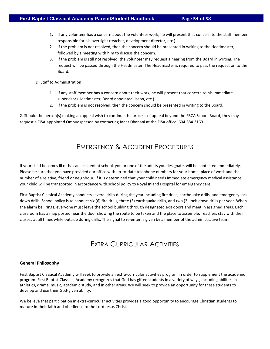- 1. If any volunteer has a concern about the volunteer work, he will present that concern to the staff member responsible for his oversight (teacher, development director, etc.).
- 2. If the problem is not resolved, then the concern should be presented in writing to the Headmaster, followed by a meeting with him to discuss the concern.
- 3. If the problem is still not resolved, the volunteer may request a hearing from the Board in writing. The request will be passed through the Headmaster. The Headmaster is required to pass the request on to the Board.
- D. Staff to Administration
	- 1. If any staff member has a concern about their work, he will present that concern to his immediate supervisor (Headmaster, Board appointed liason, etc.).
	- 2. If the problem is not resolved, then the concern should be presented in writing to the Board.

<span id="page-53-0"></span>2. Should the person(s) making an appeal wish to continue the process of appeal beyond the FBCA School Board, they may request a FISA-appointed Ombudsperson by contacting Janet Dhanani at the FISA office: 604.684.3163.

# EMERGENCY & ACCIDENT PROCEDURES

If your child becomes ill or has an accident at school, you or one of the adults you designate, will be contacted immediately. Please be sure that you have provided our office with up-to-date telephone numbers for your home, place of work and the number of a relative, friend or neighbour. If it is determined that your child needs immediate emergency medical assistance, your child will be transported in accordance with school policy to Royal Inland Hospital for emergency care.

First Baptist Classical Academy conducts several drills during the year including fire drills, earthquake drills, and emergency lockdown drills. School policy is to conduct six (6) fire drills, three (3) earthquake drills, and two (2) lock-down drills per year. When the alarm bell rings, everyone must leave the school building through designated exit doors and meet in assigned areas. Each classroom has a map posted near the door showing the route to be taken and the place to assemble. Teachers stay with their classes at all times while outside during drills. The signal to re-enter is given by a member of the administrative team.

# EXTRA CURRICULAR ACTIVITIES

## <span id="page-53-1"></span>**General Philosophy**

First Baptist Classical Academy will seek to provide an extra-curricular activities program in order to supplement the academic program. First Baptist Classical Academy recognizes that God has gifted students in a variety of ways, including abilities in athletics, drama, music, academic study, and in other areas. We will seek to provide an opportunity for these students to develop and use their God-given ability.

We believe that participation in extra-curricular activities provides a good opportunity to encourage Christian students to mature in their faith and obedience to the Lord Jesus Christ.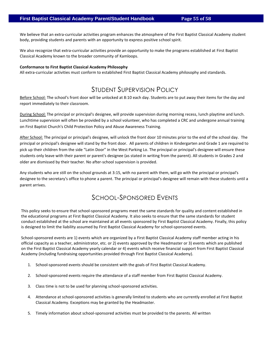We believe that an extra-curricular activities program enhances the atmosphere of the First Baptist Classical Academy student body, providing students and parents with an opportunity to express positive school spirit.

We also recognize that extra-curricular activities provide an opportunity to make the programs established at First Baptist Classical Academy known to the broader community of Kamloops.

#### **Conformance to First Baptist Classical Academy Philosophy**

<span id="page-54-0"></span>All extra-curricular activities must conform to established First Baptist Classical Academy philosophy and standards.

# STUDENT SUPERVISION POLICY

Before School: The school's front door will be unlocked at 8:10 each day. Students are to put away their items for the day and report immediately to their classroom.

During School: The principal or principal's designee, will provide supervision during morning recess, lunch playtime and lunch. Lunchtime supervision will often be provided by a school volunteer, who has completed a CRC and undergone annual training on First Baptist Church's Child Protection Policy and Abuse Awareness Training.

After School: The principal or principal's designee, will unlock the front door 10 minutes prior to the end of the school day. The principal or principal's designee will stand by the front door. All parents of children in Kindergarten and Grade 1 are required to pick up their children from the side "Latin Door" in the West Parking Lo. The principal or principal's designee will ensure these students only leave with their parent or parent's designee (as stated in writing from the parent). All students in Grades 2 and older are dismissed by their teacher. No after-school supervision is provided.

Any students who are still on the school grounds at 3:15, with no parent with them, will go with the principal or principal's designee to the secretary's office to phone a parent. The principal or principal's designee will remain with these students until a parent arrives.

## SCHOOL-SPONSORED EVENTS

<span id="page-54-1"></span>This policy seeks to ensure that school-sponsored programs meet the same standards for quality and content established in the educational programs at First Baptist Classical Academy. It also seeks to ensure that the same standards for student conduct established at the school are maintained at all events sponsored by First Baptist Classical Academy. Finally, this policy is designed to limit the liability assumed by First Baptist Classical Academy for school-sponsored events.

School-sponsored events are 1) events which are organized by a First Baptist Classical Academy staff member acting in his official capacity as a teacher, administrator, etc. or 2) events approved by the Headmaster or 3) events which are published on the First Baptist Classical Academy yearly calendar or 4) events which receive financial support from First Baptist Classical Academy (including fundraising opportunities provided through First Baptist Classical Academy).

- 1. School-sponsored events should be consistent with the goals of First Baptist Classical Academy.
- 2. School-sponsored events require the attendance of a staff member from First Baptist Classical Academy.
- 3. Class time is not to be used for planning school-sponsored activities.
- 4. Attendance at school-sponsored activities is generally limited to students who are currently enrolled at First Baptist Classical Academy. Exceptions may be granted by the Headmaster.
- 5. Timely information about school-sponsored activities must be provided to the parents. All written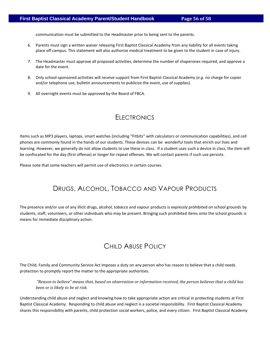communication must be submitted to the Headmaster prior to being sent to the parents.

- 6. Parents must sign a written waiver releasing First Baptist Classical Academy from any liability for all events taking place off campus. This statement will also authorize medical treatment to be given to the student in case of injury.
- 7. The Headmaster must approve all proposed activities, determine the number of chaperones required, and approve a date for the event.
- 8. Only school-sponsored activities will receive support from First Baptist Classical Academy (*e.g.* no charge for copier and/or telephone use, bulletin announcements to publicize the event, use of supplies).
- 9. All overnight events must be approved by the Board of FBCA.

## **FLECTRONICS**

<span id="page-55-0"></span>Items such as MP3 players, laptops, smart watches (including "Fitbits" with calculators or communication capabilities), and cell phones are commonly found in the hands of our students. These devices can be wonderful tools that enrich our lives and learning. However, we generally do not allow students to use these in class. If a student uses such a device in class, the item will be confiscated for the day (first offense) or longer for repeat offenses. We will contact parents if such use persists.

<span id="page-55-1"></span>Please note that some teachers will permit use of electronics in certain courses.

## DRUGS, ALCOHOL, TOBACCO AND VAPOUR PRODUCTS

The presence and/or use of any illicit drugs, alcohol, tobacco and vapour products is expressly prohibited on school grounds by students, staff, volunteers, or other individuals who may be present. Bringing such prohibited items onto the school grounds is means for immediate disciplinary action.

# CHILD ABUSE POLICY

<span id="page-55-2"></span>The Child, Family and Community Service Act imposes a duty on any person who has reason to believe that a child needs protection to promptly report the matter to the appropriate authorities.

*"Reason to believe" means that, based on observation or information received, the person believes that a child has been or is likely to be at risk.*

Understanding child abuse and neglect and knowing how to take appropriate action are critical in protecting students at First Baptist Classical Academy. Responding to child abuse and neglect is a societal responsibility. First Baptist Classical Academy shares this responsibility with parents, child protection social workers, police, and every citizen. First Baptist Classical Academy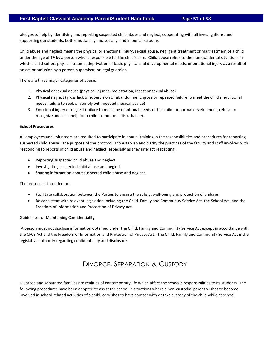pledges to help by identifying and reporting suspected child abuse and neglect, cooperating with all investigations, and supporting our students, both emotionally and socially, and in our classrooms.

Child abuse and neglect means the physical or emotional injury, sexual abuse, negligent treatment or maltreatment of a child under the age of 19 by a person who is responsible for the child's care. Child abuse refers to the non-accidental situations in which a child suffers physical trauma, deprivation of basic physical and developmental needs, or emotional injury as a result of an act or omission by a parent, supervisor, or legal guardian.

There are three major categories of abuse:

- 1. Physical or sexual abuse (physical injuries, molestation, incest or sexual abuse)
- 2. Physical neglect (gross lack of supervision or abandonment, gross or repeated failure to meet the child's nutritional needs, failure to seek or comply with needed medical advice)
- 3. Emotional injury or neglect (failure to meet the emotional needs of the child for normal development, refusal to recognize and seek help for a child's emotional disturbance).

#### **School Procedures**

All employees and volunteers are required to participate in annual training in the responsibilities and procedures for reporting suspected child abuse. The purpose of the protocol is to establish and clarify the practices of the faculty and staff involved with responding to reports of child abuse and neglect, especially as they interact respecting:

- Reporting suspected child abuse and neglect
- Investigating suspected child abuse and neglect
- Sharing information about suspected child abuse and neglect.

The protocol is intended to:

- Facilitate collaboration between the Parties to ensure the safety, well-being and protection of children
- Be consistent with relevant legislation including the Child, Family and Community Service Act, the School Act, and the Freedom of Information and Protection of Privacy Act.

#### Guidelines for Maintaining Confidentiality

A person must not disclose information obtained under the Child, Family and Community Service Act except in accordance with the CFCS Act and the Freedom of Information and Protection of Privacy Act. The Child, Family and Community Service Act is the legislative authority regarding confidentiality and disclosure.

# DIVORCE, SEPARATION & CUSTODY

<span id="page-56-0"></span>Divorced and separated families are realities of contemporary life which affect the school's responsibilities to its students. The following procedures have been adopted to assist the school in situations where a non-custodial parent wishes to become involved in school-related activities of a child, or wishes to have contact with or take custody of the child while at school.